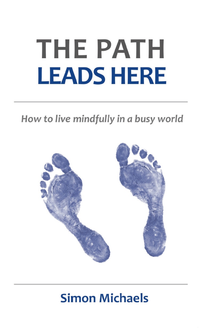# **THE PATH LEADS HERE**

How to live mindfully in a busy world



## **Simon Michaels**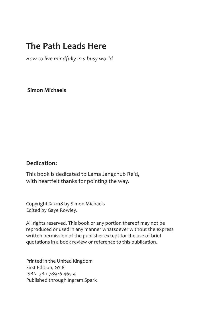#### **The Path Leads Here**

*How to live mindfully in a busy world*

**Simon Michaels**

#### **Dedication:**

This book is dedicated to Lama Jangchub Reid, with heartfelt thanks for pointing the way.

Copyright  $\odot$  2018 by Simon Michaels Edited by Gaye Rowley.

All rights reserved. This book or any portion thereof may not be reproduced or used in any manner whatsoever without the express written permission of the publisher except for the use of brief quotations in a book review or reference to this publication.

Printed in the United Kingdom First Edition, 2018 ISBN 78-1-78926-465-4 Published through Ingram Spark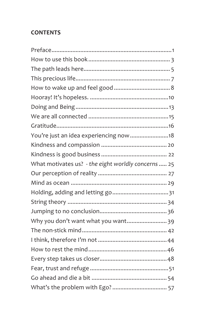#### **CONTENTS**

| You're just an idea experiencing now 18             |  |
|-----------------------------------------------------|--|
|                                                     |  |
|                                                     |  |
| What motivates us? - the eight worldly concerns  25 |  |
|                                                     |  |
|                                                     |  |
|                                                     |  |
|                                                     |  |
|                                                     |  |
| Why you don't want what you want 39                 |  |
|                                                     |  |
|                                                     |  |
|                                                     |  |
|                                                     |  |
|                                                     |  |
|                                                     |  |
|                                                     |  |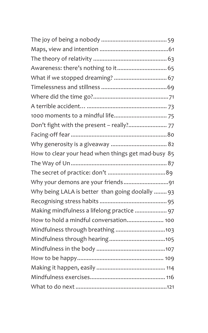| What if we stopped dreaming?  67                   |
|----------------------------------------------------|
|                                                    |
|                                                    |
|                                                    |
|                                                    |
|                                                    |
|                                                    |
|                                                    |
| How to clear your head when things get mad-busy 85 |
|                                                    |
|                                                    |
|                                                    |
| Why being LALA is better than going doolally  93   |
|                                                    |
| Making mindfulness a lifelong practice  97         |
| How to hold a mindful conversation 100             |
| Mindfulness through breathing 103                  |
|                                                    |
|                                                    |
|                                                    |
|                                                    |
|                                                    |
|                                                    |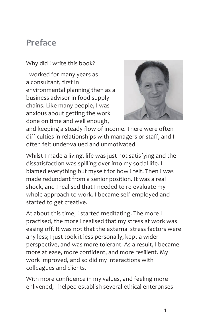#### **Preface**

Why did I write this book?

I worked for many years as a consultant, first in environmental planning then as a business advisor in food supply chains. Like many people, I was anxious about getting the work done on time and well enough,



and keeping a steady flow of income. There were often difficulties in relationships with managers or staff, and I often felt under-valued and unmotivated.

Whilst I made a living, life was just not satisfying and the dissatisfaction was spilling over into my social life. I blamed everything but myself for how I felt. Then I was made redundant from a senior position. It was a real shock, and I realised that I needed to re-evaluate my whole approach to work. I became self-employed and started to get creative.

At about this time, I started meditating. The more I practised, the more I realised that my stress at work was easing off. It was not that the external stress factors were any less; I just took it less personally, kept a wider perspective, and was more tolerant. As a result, I became more at ease, more confident, and more resilient. My work improved, and so did my interactions with colleagues and clients.

With more confidence in my values, and feeling more enlivened, I helped establish several ethical enterprises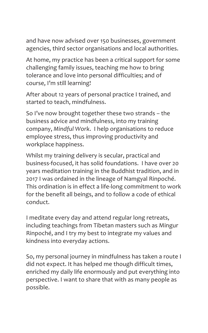and have now advised over 150 businesses, government agencies, third sector organisations and local authorities.

At home, my practice has been a critical support for some challenging family issues, teaching me how to bring tolerance and love into personal difficulties; and of course, I'm still learning!

After about 12 years of personal practice I trained, and started to teach, mindfulness.

So I've now brought together these two strands - the business advice and mindfulness, into my training company, *Mindful Work*. I help organisations to reduce employee stress, thus improving productivity and workplace happiness.

Whilst my training delivery is secular, practical and business-focused, it has solid foundations. I have over 20 years meditation training in the Buddhist tradition, and in 2017 I was ordained in the lineage of Namgyal Rinpoché. This ordination is in effect a life-long commitment to work for the benefit all beings, and to follow a code of ethical conduct. 

I meditate every day and attend regular long retreats, including teachings from Tibetan masters such as Mingur Rinpoché, and I try my best to integrate my values and kindness into everyday actions.

So, my personal journey in mindfulness has taken a route I did not expect. It has helped me though difficult times, enriched my daily life enormously and put everything into perspective. I want to share that with as many people as possible.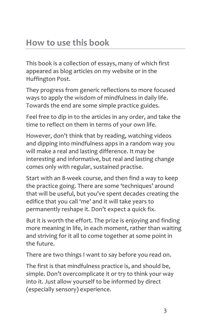#### **How to use this book**

This book is a collection of essays, many of which first appeared as blog articles on my website or in the Huffington Post.

They progress from generic reflections to more focused ways to apply the wisdom of mindfulness in daily life. Towards the end are some simple practice guides.

Feel free to dip in to the articles in any order, and take the time to reflect on them in terms of your own life.

However, don't think that by reading, watching videos and dipping into mindfulness apps in a random way you will make a real and lasting difference. It may be interesting and informative, but real and lasting change comes only with regular, sustained practise.

Start with an 8-week course, and then find a way to keep the practice going. There are some 'techniques' around that will be useful, but you've spent decades creating the edifice that you call 'me' and it will take years to permanently reshape it. Don't expect a quick fix.

But it is worth the effort. The prize is enjoying and finding more meaning in life, in each moment, rather than waiting and striving for it all to come together at some point in the future.

There are two things I want to say before you read on.

The first is that mindfulness practice is, and should be, simple. Don't overcomplicate it or try to think your way into it. Just allow yourself to be informed by direct (especially sensory) experience.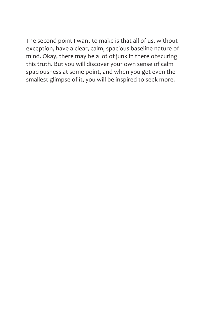The second point I want to make is that all of us, without exception, have a clear, calm, spacious baseline nature of mind. Okay, there may be a lot of junk in there obscuring this truth. But you will discover your own sense of calm spaciousness at some point, and when you get even the smallest glimpse of it, you will be inspired to seek more.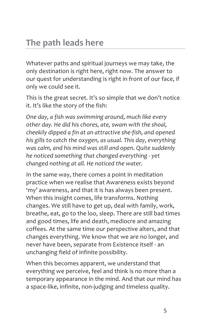### **The path leads here**

Whatever paths and spiritual journeys we may take, the only destination is right here, right now. The answer to our quest for understanding is right in front of our face, if only we could see it.

This is the great secret. It's so simple that we don't notice it. It's like the story of the fish:

*One day, a fish was swimming around, much like every other day. He did his chores, ate, swam with the shoal, cheekily dipped a fin at an attractive she-fish, and opened his gills to catch the oxygen, as usual. This day, everything was calm, and his mind was still and open. Quite suddenly he noticed something that changed everything - yet changed nothing at all. He noticed the water.*

In the same way, there comes a point in meditation practice when we realise that Awareness exists beyond 'my' awareness, and that it is has always been present. When this insight comes, life transforms. Nothing changes. We still have to get up, deal with family, work, breathe, eat, go to the loo, sleep. There are still bad times and good times, life and death, mediocre and amazing coffees. At the same time our perspective alters, and that changes everything. We know that we are no longer, and never have been, separate from Existence itself - an unchanging field of infinite possibility.

When this becomes apparent, we understand that everything we perceive, feel and think is no more than a temporary appearance in the mind. And that our mind has a space-like, infinite, non-judging and timeless quality.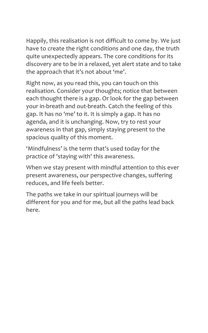Happily, this realisation is not difficult to come by. We just have to create the right conditions and one day, the truth quite unexpectedly appears. The core conditions for its discovery are to be in a relaxed, yet alert state and to take the approach that it's not about 'me'.

Right now, as you read this, you can touch on this realisation. Consider your thoughts; notice that between each thought there is a gap. Or look for the gap between your in-breath and out-breath. Catch the feeling of this gap. It has no 'me' to it. It is simply a gap. It has no agenda, and it is unchanging. Now, try to rest your awareness in that gap, simply staying present to the spacious quality of this moment.

'Mindfulness' is the term that's used today for the practice of 'staying with' this awareness.

When we stay present with mindful attention to this ever present awareness, our perspective changes, suffering reduces, and life feels better.

The paths we take in our spiritual journeys will be different for you and for me, but all the paths lead back here.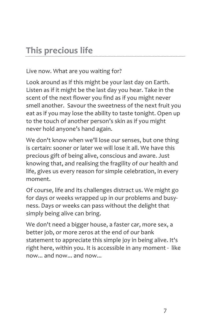#### **This precious life**

Live now. What are you waiting for?

Look around as if this might be your last day on Earth. Listen as if it might be the last day you hear. Take in the scent of the next flower you find as if you might never smell another. Savour the sweetness of the next fruit you eat as if you may lose the ability to taste tonight. Open up to the touch of another person's skin as if you might never hold anyone's hand again.

We don't know when we'll lose our senses, but one thing is certain: sooner or later we will lose it all. We have this precious gift of being alive, conscious and aware. Just knowing that, and realising the fragility of our health and life, gives us every reason for simple celebration, in every moment.

Of course, life and its challenges distract us. We might go for days or weeks wrapped up in our problems and busyness. Days or weeks can pass without the delight that simply being alive can bring.

We don't need a bigger house, a faster car, more sex, a better job, or more zeros at the end of our bank statement to appreciate this simple joy in being alive. It's right here, within you. It is accessible in any moment - like  $now...$  and  $now...$  and  $now...$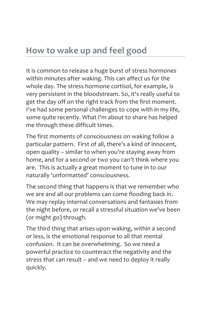#### **How to wake up and feel good**

It is common to release a huge burst of stress hormones within minutes after waking. This can affect us for the whole day. The stress hormone cortisol, for example, is very persistent in the bloodstream. So, it's really useful to get the day off on the right track from the first moment. I've had some personal challenges to cope with in my life, some quite recently. What I'm about to share has helped me through these difficult times.

The first moments of consciousness on waking follow a particular pattern. First of all, there's a kind of innocent, open quality – similar to when you're staying away from home, and for a second or two you can't think where you are. This is actually a great moment to tune in to our naturally 'unformatted' consciousness.

The second thing that happens is that we remember who we are and all our problems can come flooding back in. We may replay internal conversations and fantasies from the night before, or recall a stressful situation we've been (or might go) through.

The third thing that arises upon waking, within a second or less, is the emotional response to all that mental confusion. It can be overwhelming. So we need a powerful practice to counteract the negativity and the stress that can result – and we need to deploy it really quickly.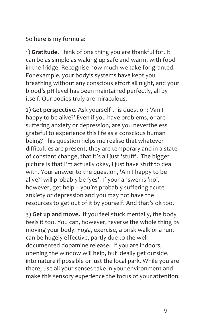So here is my formula:

1) Gratitude. Think of one thing you are thankful for. It can be as simple as waking up safe and warm, with food in the fridge. Recognise how much we take for granted. For example, your body's systems have kept you breathing without any conscious effort all night, and your blood's pH level has been maintained perfectly, all by itself. Our bodies truly are miraculous.

2) Get perspective. Ask yourself this question: 'Am I happy to be alive?' Even if you have problems, or are suffering anxiety or depression, are you nevertheless grateful to experience this life as a conscious human being? This question helps me realise that whatever difficulties are present, they are temporary and in a state of constant change, that it's all just 'stuff'. The bigger picture is that I'm actually okay, I just have stuff to deal with. Your answer to the question, 'Am I happy to be alive?' will probably be 'yes'. If your answer is 'no', however, get help - you're probably suffering acute anxiety or depression and you may not have the resources to get out of it by yourself. And that's ok too.

3) Get up and move. If you feel stuck mentally, the body feels it too. You can, however, reverse the whole thing by moving your body. Yoga, exercise, a brisk walk or a run, can be hugely effective, partly due to the welldocumented dopamine release. If you are indoors, opening the window will help, but ideally get outside, into nature if possible or just the local park. While you are there, use all your senses take in your environment and make this sensory experience the focus of your attention.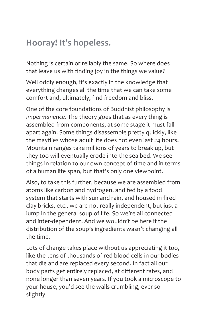#### **Hooray! It's hopeless.**

Nothing is certain or reliably the same. So where does that leave us with finding joy in the things we value?

Well oddly enough, it's exactly in the knowledge that everything changes all the time that we can take some comfort and, ultimately, find freedom and bliss.

One of the core foundations of Buddhist philosophy is *impermanence*. The theory goes that as every thing is assembled from components, at some stage it must fall apart again. Some things disassemble pretty quickly, like the mayflies whose adult life does not even last 24 hours. Mountain ranges take millions of years to break up, but they too will eventually erode into the sea bed. We see things in relation to our own concept of time and in terms of a human life span, but that's only one viewpoint.

Also, to take this further, because we are assembled from atoms like carbon and hydrogen, and fed by a food system that starts with sun and rain, and housed in fired clay bricks, etc., we are not really independent, but just a lump in the general soup of life. So we're all connected and inter-dependent. And we wouldn't be here if the distribution of the soup's ingredients wasn't changing all the time.

Lots of change takes place without us appreciating it too, like the tens of thousands of red blood cells in our bodies that die and are replaced every second. In fact all our body parts get entirely replaced, at different rates, and none longer than seven years. If you took a microscope to your house, you'd see the walls crumbling, ever so slightly.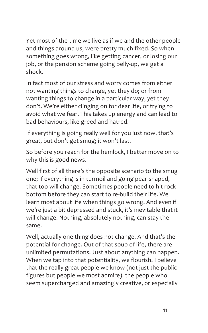Yet most of the time we live as if we and the other people and things around us, were pretty much fixed. So when something goes wrong, like getting cancer, or losing our job, or the pension scheme going belly-up, we get a shock.

In fact most of our stress and worry comes from either not wanting things to change, yet they do; or from wanting things to change in a particular way, yet they don't. We're either clinging on for dear life, or trying to avoid what we fear. This takes up energy and can lead to bad behaviours, like greed and hatred.

If everything is going really well for you just now, that's great, but don't get smug; it won't last.

So before you reach for the hemlock, I better move on to why this is good news.

Well first of all there's the opposite scenario to the smug one; if everything is in turmoil and going pear-shaped, that too will change. Sometimes people need to hit rock bottom before they can start to re-build their life. We learn most about life when things go wrong. And even if we're just a bit depressed and stuck, it's inevitable that it will change. Nothing, absolutely nothing, can stay the same.

Well, actually one thing does not change. And that's the potential for change. Out of that soup of life, there are unlimited permutations. Just about anything can happen. When we tap into that potentiality, we flourish. I believe that the really great people we know (not just the public figures but people we most admire), the people who seem supercharged and amazingly creative, or especially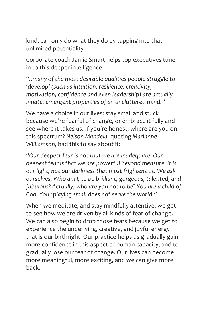kind, can only do what they do by tapping into that unlimited potentiality.

Corporate coach Jamie Smart helps top executives tunein to this deeper intelligence:

*''..many of the most desirable qualities people struggle to 'develop' (such as intuition, resilience, creativity, motivation, confidence and even leadership) are actually innate, emergent properties of an uncluttered mind.''*

We have a choice in our lives: stay small and stuck because we're fearful of change, or embrace it fully and see where it takes us. If you're honest, where are you on this spectrum? *Nelson Mandela,* quoting *Marianne Williamson*, had this to say about it:

*"Our deepest fear is not that we are inadequate. Our deepest fear is that we are powerful beyond measure. It is our light, not our darkness that most frightens us. We ask ourselves, Who am I, to be brilliant, gorgeous, talented, and fabulous? Actually, who are you not to be? You are a child of God. Your playing small does not serve the world."*

When we meditate, and stay mindfully attentive, we get to see how we are driven by all kinds of fear of change. We can also begin to drop those fears because we get to experience the underlying, creative, and joyful energy that is our birthright. Our practice helps us gradually gain more confidence in this aspect of human capacity, and to gradually lose our fear of change. Our lives can become more meaningful, more exciting, and we can give more back.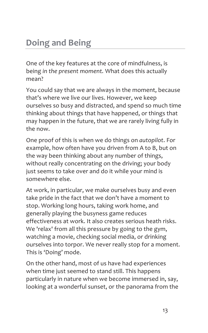## **Doing and Being**

One of the key features at the core of mindfulness, is being *in the present moment*. What does this actually mean?

You could say that we are always in the moment, because that's where we live our lives. However, we keep ourselves so busy and distracted, and spend so much time thinking about things that have happened, or things that may happen in the future, that we are rarely living fully in the now.

One proof of this is when we do things on *autopilot*. For example, how often have you driven from A to B, but on the way been thinking about any number of things, without really concentrating on the driving; your body just seems to take over and do it while your mind is somewhere else.

At work, in particular, we make ourselves busy and even take pride in the fact that we don't have a moment to stop. Working long hours, taking work home, and generally playing the busyness game reduces effectiveness at work. It also creates serious heath risks. We 'relax' from all this pressure by going to the gym, watching a movie, checking social media, or drinking ourselves into torpor. We never really stop for a moment. This is 'Doing' mode.

On the other hand, most of us have had experiences when time just seemed to stand still. This happens particularly in nature when we become immersed in, say, looking at a wonderful sunset, or the panorama from the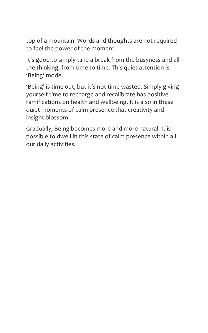top of a mountain. Words and thoughts are not required to feel the power of the moment.

It's good to simply take a break from the busyness and all the thinking, from time to time. This quiet attention is 'Being' mode.

'Being' is time out, but it's not time wasted. Simply giving yourself time to recharge and recalibrate has positive ramifications on health and wellbeing. It is also in these quiet moments of calm presence that creativity and insight blossom.

Gradually, Being becomes more and more natural. It is possible to dwell in this state of calm presence within all our daily activities.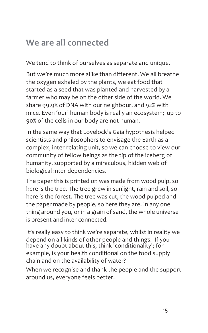#### **We are all connected**

We tend to think of ourselves as separate and unique. 

But we're much more alike than different. We all breathe the oxygen exhaled by the plants, we eat food that started as a seed that was planted and harvested by a farmer who may be on the other side of the world. We share 99.9% of DNA with our neighbour, and 92% with mice. Even 'our' human body is really an ecosystem; up to 90% of the cells in our body are not human.

In the same way that Lovelock's Gaia hypothesis helped scientists and philosophers to envisage the Earth as a complex, inter-relating unit, so we can choose to view our community of fellow beings as the tip of the iceberg of humanity, supported by a miraculous, hidden web of biological inter-dependencies. 

The paper this is printed on was made from wood pulp, so here is the tree. The tree grew in sunlight, rain and soil, so here is the forest. The tree was cut, the wood pulped and the paper made by people, so here they are. In any one thing around you, or in a grain of sand, the whole universe is present and inter-connected.

It's really easy to think we're separate, whilst in reality we depend on all kinds of other people and things. If you have any doubt about this, think 'conditionality'; for example, is your health conditional on the food supply chain and on the availability of water?

When we recognise and thank the people and the support around us, everyone feels better.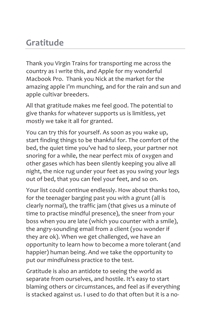#### **Gratitude**

Thank you Virgin Trains for transporting me across the country as I write this, and Apple for my wonderful Macbook Pro. Thank you Nick at the market for the amazing apple I'm munching, and for the rain and sun and apple cultivar breeders.

All that gratitude makes me feel good. The potential to give thanks for whatever supports us is limitless, yet mostly we take it all for granted.

You can try this for yourself. As soon as you wake up, start finding things to be thankful for. The comfort of the bed, the quiet time you've had to sleep, your partner not snoring for a while, the near perfect mix of oxygen and other gases which has been silently keeping you alive all night, the nice rug under your feet as you swing your legs out of bed, that you can feel your feet, and so on.

Your list could continue endlessly. How about thanks too, for the teenager barging past you with a grunt (all is clearly normal), the traffic jam (that gives us a minute of time to practise mindful presence), the sneer from your boss when you are late (which you counter with a smile), the angry-sounding email from a client (you wonder if they are ok). When we get challenged, we have an opportunity to learn how to become a more tolerant (and happier) human being. And we take the opportunity to put our mindfulness practice to the test.

Gratitude is also an antidote to seeing the world as separate from ourselves, and hostile. It's easy to start blaming others or circumstances, and feel as if everything is stacked against us. I used to do that often but it is a no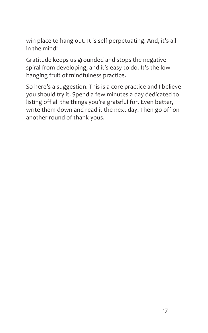win place to hang out. It is self-perpetuating. And, it's all in the mind!

Gratitude keeps us grounded and stops the negative spiral from developing, and it's easy to do. It's the lowhanging fruit of mindfulness practice.

So here's a suggestion. This is a core practice and I believe you should try it. Spend a few minutes a day dedicated to listing off all the things you're grateful for. Even better, write them down and read it the next day. Then go off on another round of thank-yous.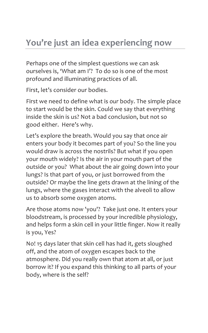## **You're just an idea experiencing now**

Perhaps one of the simplest questions we can ask ourselves is, 'What am I'? To do so is one of the most profound and illuminating practices of all.

First, let's consider our bodies.

First we need to define what is our body. The simple place to start would be the skin. Could we say that everything inside the skin is us? Not a bad conclusion, but not so good either. Here's why.

Let's explore the breath. Would you say that once air enters your body it becomes part of you? So the line you would draw is across the nostrils? But what if you open your mouth widely? Is the air in your mouth part of the outside or you? What about the air going down into your lungs? Is that part of you, or just borrowed from the outside? Or maybe the line gets drawn at the lining of the lungs, where the gases interact with the alveoli to allow us to absorb some oxygen atoms.

Are those atoms now 'you'? Take just one. It enters your bloodstream, is processed by your incredible physiology, and helps form a skin cell in your little finger. Now it really is you, Yes?

No! 15 days later that skin cell has had it, gets sloughed off, and the atom of oxygen escapes back to the atmosphere. Did you really own that atom at all, or just borrow it? If you expand this thinking to all parts of your body, where is the self?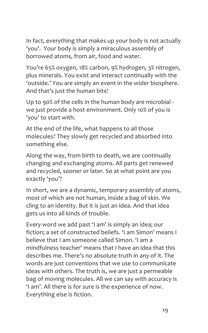In fact, everything that makes up your body is not actually 'you'. Your body is simply a miraculous assembly of borrowed atoms, from air, food and water.

You're 65% oxygen, 18% carbon, 9% hydrogen, 3% nitrogen, plus minerals. You exist and interact continually with the 'outside.' You are simply an event in the wider biosphere. And that's just the human bits!

Up to 90% of the cells in the human body are microbial we just provide a host environment. Only 10% of you is 'you' to start with.

At the end of the life, what happens to all those molecules? They slowly get recycled and absorbed into something else.

Along the way, from birth to death, we are continually changing and exchanging atoms. All parts get renewed and recycled, sooner or later. So at what point are you exactly 'you'?

In short, we are a dynamic, temporary assembly of atoms, most of which are not human, inside a bag of skin. We cling to an identity. But it is just an idea. And that idea gets us into all kinds of trouble.

Every word we add past 'I am' is simply an idea; our fiction; a set of constructed beliefs. 'I am Simon' means I believe that I am someone called Simon. I am a mindfulness teacher' means that I have an idea that this describes me. There's no absolute truth in any of it. The words are just conventions that we use to communicate ideas with others. The truth is, we are just a permeable bag of moving molecules. All we can say with accuracy is 'I am'. All there is for sure is the experience of now. Everything else is fiction.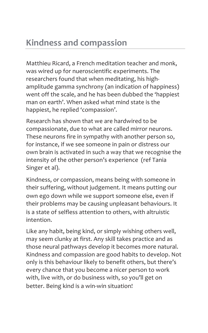## **Kindness and compassion**

Matthieu Ricard, a French meditation teacher and monk, was wired up for nueroscientific experiments. The researchers found that when meditating, his highamplitude gamma synchrony (an indication of happiness) went off the scale, and he has been dubbed the 'happiest man on earth'. When asked what mind state is the happiest, he replied 'compassion'.

Research has shown that we are hardwired to be compassionate, due to what are called mirror neurons. These neurons fire in sympathy with another person so, for instance, if we see someone in pain or distress our own brain is activated in such a way that we recognise the intensity of the other person's experience (ref Tania Singer et al).

Kindness, or compassion, means being with someone in their suffering, without judgement. It means putting our own ego down while we support someone else, even if their problems may be causing unpleasant behaviours. It is a state of selfless attention to others, with altruistic intention. 

Like any habit, being kind, or simply wishing others well, may seem clunky at first. Any skill takes practice and as those neural pathways develop it becomes more natural. Kindness and compassion are good habits to develop. Not only is this behaviour likely to benefit others, but there's every chance that you become a nicer person to work with, live with, or do business with, so you'll get on better. Being kind is a win-win situation!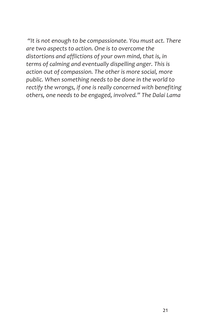*"It is not enough to be compassionate. You must act. There are two aspects to action. One is to overcome the distortions and afflictions of your own mind, that is, in terms of calming and eventually dispelling anger. This is action out of compassion. The other is more social, more public. When something needs to be done in the world to rectify the wrongs, if one is really concerned with benefiting others, one needs to be engaged, involved." The Dalai Lama*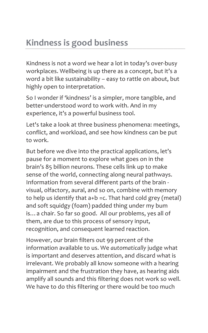## **Kindness is good business**

Kindness is not a word we hear a lot in today's over-busy workplaces. Wellbeing is up there as a concept, but it's a word a bit like sustainability  $-$  easy to rattle on about, but highly open to interpretation.

So I wonder if 'kindness' is a simpler, more tangible, and better-understood word to work with. And in my experience, it's a powerful business tool.

Let's take a look at three business phenomena: meetings, conflict, and workload, and see how kindness can be put to work.

But before we dive into the practical applications, let's pause for a moment to explore what goes on in the brain's 85 billion neurons. These cells link up to make sense of the world, connecting along neural pathways. Information from several different parts of the brain visual, olfactory, aural, and so on, combine with memory to help us identify that  $a+b = c$ . That hard cold grey (metal) and soft squidgy (foam) padded thing under my bum is... a chair. So far so good. All our problems, yes all of them, are due to this process of sensory input, recognition, and consequent learned reaction.

However, our brain filters out 99 percent of the information available to us. We *automatically* judge what is important and deserves attention, and discard what is irrelevant. We probably all know someone with a hearing impairment and the frustration they have, as hearing aids amplify all sounds and this filtering does not work so well. We have to do this filtering or there would be too much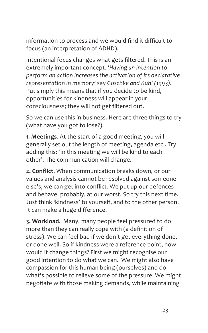information to process and we would find it difficult to focus (an interpretation of ADHD).

Intentional focus changes what gets filtered. This is an extremely important concept. '*Having an intention to perform an action increases the activation of its declarative representation in memory'* say *Goschke and Kuhl (1993).* Put simply this means that if you decide to be kind, opportunities for kindness will appear in your consciousness; they will not get filtered out.

So we can use this in business. Here are three things to try (what have you got to lose?).

**1. Meetings.** At the start of a good meeting, you will generally set out the length of meeting, agenda etc. Try adding this: 'In this meeting we will be kind to each other'. The communication will change.

**2. Conflict.** When communication breaks down, or our values and analysis cannot be resolved against someone else's, we can get into conflict. We put up our defences and behave, probably, at our worst. So try this next time. Just think 'kindness' to yourself, and to the other person. It can make a huge difference.

**3. Workload.** Many, many people feel pressured to do more than they can really cope with (a definition of stress). We can feel bad if we don't get everything done, or done well. So if kindness were a reference point, how would it change things? First we might recognise our good intention to do what we can. We might also have compassion for this human being (ourselves) and do what's possible to relieve some of the pressure. We might negotiate with those making demands, while maintaining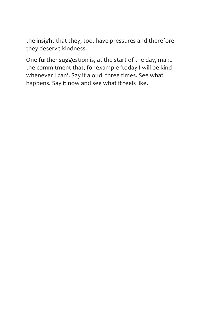the insight that they, too, have pressures and therefore they deserve kindness.

One further suggestion is, at the start of the day, make the commitment that, for example 'today I will be kind whenever I can'. Say it aloud, three times. See what happens. Say it now and see what it feels like.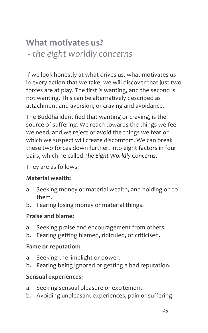#### **What motivates us?**

**-** *the eight worldly concerns*

If we look honestly at what drives us, what motivates us in every action that we take, we will discover that just two forces are at play. The first is wanting, and the second is not wanting. This can be alternatively described as attachment and aversion, or craving and avoidance.

The Buddha identified that wanting or craving, is the source of suffering. We reach towards the things we feel we need, and we reject or avoid the things we fear or which we suspect will create discomfort. We can break these two forces down further, into eight factors in four pairs, which he called *The Eight Worldly Concerns*. 

They are as follows:

#### **Material wealth:**

- a. Seeking money or material wealth, and holding on to them.
- b. Fearing losing money or material things.

#### **Praise and blame:**

- a. Seeking praise and encouragement from others.
- b. Fearing getting blamed, ridiculed, or criticised.

#### **Fame or reputation:**

- a. Seeking the limelight or power.
- b. Fearing being ignored or getting a bad reputation.

#### **Sensual experiences:**

- a. Seeking sensual pleasure or excitement.
- b. Avoiding unpleasant experiences, pain or suffering.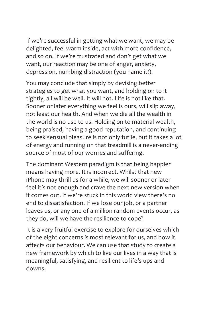If we're successful in getting what we want, we may be delighted, feel warm inside, act with more confidence, and so on. If we're frustrated and don't get what we want, our reaction may be one of anger, anxiety, depression, numbing distraction (you name it!).

You may conclude that simply by devising better strategies to get what you want, and holding on to it tightly, all will be well. It will not. Life is not like that. Sooner or later everything we feel is ours, will slip away, not least our health. And when we die all the wealth in the world is no use to us. Holding on to material wealth, being praised, having a good reputation, and continuing to seek sensual pleasure is not only futile, but it takes a lot of energy and running on that treadmill is a never-ending source of most of our worries and suffering.

The dominant Western paradigm is that being happier means having more. It is incorrect. Whilst that new iPhone may thrill us for a while, we will sooner or later feel it's not enough and crave the next new version when it comes out. If we're stuck in this world view there's no end to dissatisfaction. If we lose our job, or a partner leaves us, or any one of a million random events occur, as they do, will we have the resilience to cope?

It is a very fruitful exercise to explore for ourselves which of the eight concerns is most relevant for us, and how it affects our behaviour. We can use that study to create a new framework by which to live our lives in a way that is meaningful, satisfying, and resilient to life's ups and downs.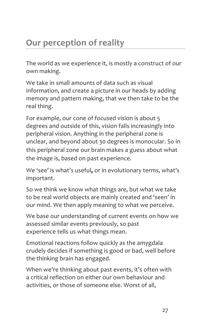## **Our perception of reality**

The world as we experience it, is mostly a construct of our own making.

We take in small amounts of data such as visual information, and create a picture in our heads by adding memory and pattern making, that we then take to be the real thing.

For example, our cone of focused vision is about 5 degrees and outside of this, vision falls increasingly into peripheral vision. Anything in the peripheral zone is unclear, and beyond about 30 degrees is monocular. So in this peripheral zone our brain makes a guess about what the image is, based on past experience.

We 'see' is what's useful, or in evolutionary terms, what's important. 

So we think we know what things are, but what we take to be real world objects are mainly created and 'seen' in our mind. We then apply meaning to what we perceive.

We base our understanding of current events on how we assessed similar events previously, so past experience tells us what things mean.

Emotional reactions follow quickly as the amygdala crudely decides if something is good or bad, well before the thinking brain has engaged.

When we're thinking about past events, it's often with a critical reflection on either our own behaviour and activities, or those of someone else. Worst of all,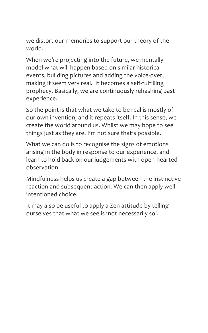we distort our memories to support our theory of the world. 

When we're projecting into the future, we mentally model what will happen based on similar historical events, building pictures and adding the voice-over, making it seem very real. It becomes a self-fulfilling prophecy. Basically, we are continuously rehashing past experience.

So the point is that what we take to be real is mostly of our own invention, and it repeats itself. In this sense, we create the world around us. Whilst we may hope to see things just as they are, I'm not sure that's possible.

What we can do is to recognise the signs of emotions arising in the body in response to our experience, and learn to hold back on our judgements with open-hearted observation. 

Mindfulness helps us create a gap between the instinctive reaction and subsequent action. We can then apply wellintentioned choice.

It may also be useful to apply a Zen attitude by telling ourselves that what we see is 'not necessarily so'.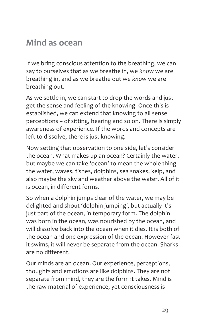## **Mind as ocean**

If we bring conscious attention to the breathing, we can say to ourselves that as we breathe in, we know we are breathing in, and as we breathe out we know we are breathing out.

As we settle in, we can start to drop the words and just get the sense and feeling of the knowing. Once this is established, we can extend that knowing to all sense perceptions - of sitting, hearing and so on. There is simply awareness of experience. If the words and concepts are left to dissolve, there is just knowing.

Now setting that observation to one side, let's consider the ocean. What makes up an ocean? Certainly the water, but maybe we can take 'ocean' to mean the whole thing the water, waves, fishes, dolphins, sea snakes, kelp, and also maybe the sky and weather above the water. All of it is ocean, in different forms.

So when a dolphin jumps clear of the water, we may be delighted and shout 'dolphin jumping', but actually it's just part of the ocean, in temporary form. The dolphin was born in the ocean, was nourished by the ocean, and will dissolve back into the ocean when it dies. It is both of the ocean and one expression of the ocean. However fast it swims, it will never be separate from the ocean. Sharks are no different.

Our minds are an ocean. Our experience, perceptions, thoughts and emotions are like dolphins. They are not separate from mind, they are the form it takes. Mind is the raw material of experience, yet consciousness is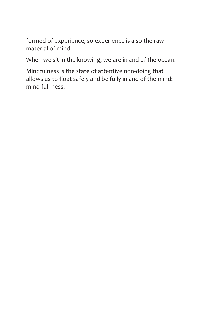formed of experience, so experience is also the raw material of mind.

When we sit in the knowing, we are in and of the ocean.

Mindfulness is the state of attentive non-doing that allows us to float safely and be fully in and of the mind: mind-full-ness.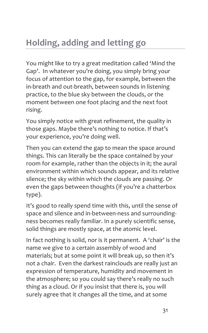You might like to try a great meditation called 'Mind the Gap'. In whatever you're doing, you simply bring your focus of attention to the gap, for example, between the in-breath and out-breath, between sounds in listening practice, to the blue sky between the clouds, or the moment between one foot placing and the next foot rising.

You simply notice with great refinement, the quality in those gaps. Maybe there's nothing to notice. If that's your experience, you're doing well.

Then you can extend the gap to mean the space around things. This can literally be the space contained by your room for example, rather than the objects in it; the aural environment within which sounds appear, and its relative silence; the sky within which the clouds are passing. Or even the gaps between thoughts (if you're a chatterbox type).

It's good to really spend time with this, until the sense of space and silence and in-between-ness and surroundingness becomes really familiar. In a purely scientific sense, solid things are mostly space, at the atomic level.

In fact nothing is solid, nor is it permanent. A 'chair' is the name we give to a certain assembly of wood and materials; but at some point it will break up, so then it's not a chair. Even the darkest rainclouds are really just an expression of temperature, humidity and movement in the atmosphere; so you could say there's really no such thing as a cloud. Or if you insist that there is, you will surely agree that it changes all the time, and at some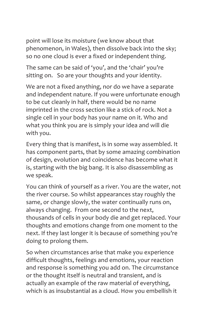point will lose its moisture (we know about that phenomenon, in Wales), then dissolve back into the sky; so no one cloud is ever a fixed or independent thing.

The same can be said of 'you', and the 'chair' you're sitting on. So are your thoughts and your identity.

We are not a fixed anything, nor do we have a separate and independent nature. If you were unfortunate enough to be cut cleanly in half, there would be no name imprinted in the cross section like a stick of rock. Not a single cell in your body has your name on it. Who and what you think you are is simply your idea and will die with you.

Every thing that is manifest, is in some way assembled. It has component parts, that by some amazing combination of design, evolution and coincidence has become what it is, starting with the big bang. It is also disassembling as we speak.

You can think of yourself as a river. You are the water, not the river course. So whilst appearances stay roughly the same, or change slowly, the water continually runs on, always changing. From one second to the next, thousands of cells in your body die and get replaced. Your thoughts and emotions change from one moment to the next. If they last longer it is because of something you're doing to prolong them.

So when circumstances arise that make you experience difficult thoughts, feelings and emotions, your reaction and response is something you add on. The circumstance or the thought itself is neutral and transient, and is actually an example of the raw material of everything, which is as insubstantial as a cloud. How you embellish it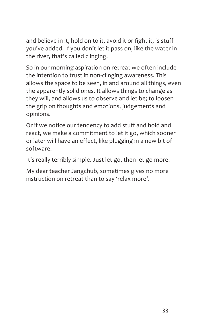and believe in it, hold on to it, avoid it or fight it, is stuff you've added. If you don't let it pass on, like the water in the river, that's called clinging.

So in our morning aspiration on retreat we often include the intention to trust in non-clinging awareness. This allows the space to be seen, in and around all things, even the apparently solid ones. It allows things to change as they will, and allows us to observe and let be; to loosen the grip on thoughts and emotions, judgements and opinions. 

Or if we notice our tendency to add stuff and hold and react, we make a commitment to let it go, which sooner or later will have an effect, like plugging in a new bit of software. 

It's really terribly simple. Just let go, then let go more.

My dear teacher Jangchub, sometimes gives no more instruction on retreat than to say 'relax more'.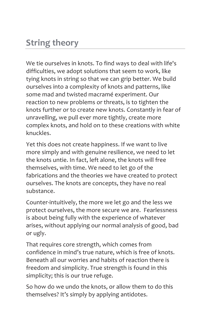### **String theory**

We tie ourselves in knots. To find ways to deal with life's difficulties, we adopt solutions that seem to work, like tying knots in string so that we can grip better. We build ourselves into a complexity of knots and patterns, like some mad and twisted macramé experiment. Our reaction to new problems or threats, is to tighten the knots further or to create new knots. Constantly in fear of unravelling, we pull ever more tightly, create more complex knots, and hold on to these creations with white knuckles.

Yet this does not create happiness. If we want to live more simply and with genuine resilience, we need to let the knots untie. In fact, left alone, the knots will free themselves, with time. We need to let go of the fabrications and the theories we have created to protect ourselves. The knots are concepts, they have no real substance. 

Counter-intuitively, the more we let go and the less we protect ourselves, the more secure we are. Fearlessness is about being fully with the experience of whatever arises, without applying our normal analysis of good, bad or ugly.

That requires core strength, which comes from confidence in mind's true nature, which is free of knots. Beneath all our worries and habits of reaction there is freedom and simplicity. True strength is found in this simplicity; this is our true refuge.

So how do we undo the knots, or allow them to do this themselves? It's simply by applying antidotes.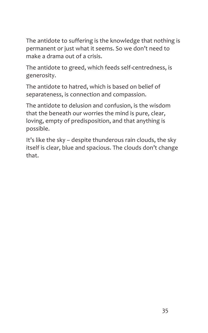The antidote to suffering is the knowledge that nothing is permanent or just what it seems. So we don't need to make a drama out of a crisis.

The antidote to greed, which feeds self-centredness, is generosity. 

The antidote to hatred, which is based on belief of separateness, is connection and compassion.

The antidote to delusion and confusion, is the wisdom that the beneath our worries the mind is pure, clear, loving, empty of predisposition, and that anything is possible. 

It's like the sky – despite thunderous rain clouds, the sky itself is clear, blue and spacious. The clouds don't change that.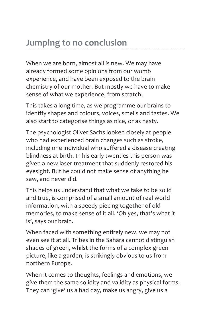### **Jumping to no conclusion**

When we are born, almost all is new. We may have already formed some opinions from our womb experience, and have been exposed to the brain chemistry of our mother. But mostly we have to make sense of what we experience, from scratch.

This takes a long time, as we programme our brains to identify shapes and colours, voices, smells and tastes. We also start to categorise things as nice, or as nasty.

The psychologist Oliver Sachs looked closely at people who had experienced brain changes such as stroke, including one individual who suffered a disease creating blindness at birth. In his early twenties this person was given a new laser treatment that suddenly restored his eyesight. But he could not make sense of anything he saw, and never did.

This helps us understand that what we take to be solid and true, is comprised of a small amount of real world information, with a speedy piecing together of old memories, to make sense of it all. 'Oh yes, that's what it is', says our brain.

When faced with something entirely new, we may not even see it at all. Tribes in the Sahara cannot distinguish shades of green, whilst the forms of a complex green picture, like a garden, is strikingly obvious to us from northern Europe.

When it comes to thoughts, feelings and emotions, we give them the same solidity and validity as physical forms. They can 'give' us a bad day, make us angry, give us a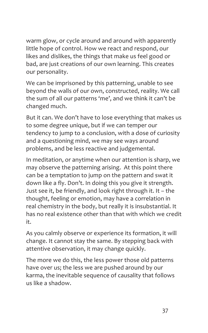warm glow, or cycle around and around with apparently little hope of control. How we react and respond, our likes and dislikes, the things that make us feel good or bad, are just creations of our own learning. This creates our personality.

We can be imprisoned by this patterning, unable to see beyond the walls of our own, constructed, reality. We call the sum of all our patterns 'me', and we think it can't be changed much.

But it can. We don't have to lose everything that makes us to some degree unique, but if we can temper our tendency to jump to a conclusion, with a dose of curiosity and a questioning mind, we may see ways around problems, and be less reactive and judgemental.

In meditation, or anytime when our attention is sharp, we may observe the patterning arising. At this point there can be a temptation to jump on the pattern and swat it down like a fly. Don't. In doing this you give it strength. Just see it, be friendly, and look right through it. It – the thought, feeling or emotion, may have a correlation in real chemistry in the body, but really it is insubstantial. It has no real existence other than that with which we credit it.

As you calmly observe or experience its formation, it will change. It cannot stay the same. By stepping back with attentive observation, it may change quickly.

The more we do this, the less power those old patterns have over us; the less we are pushed around by our karma, the inevitable sequence of causality that follows us like a shadow.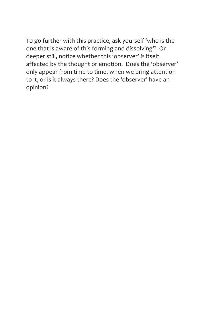To go further with this practice, ask yourself 'who is the one that is aware of this forming and dissolving'? Or deeper still, notice whether this 'observer' is itself affected by the thought or emotion. Does the 'observer' only appear from time to time, when we bring attention to it, or is it always there? Does the 'observer' have an opinion?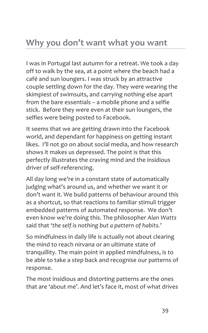### **Why you don't want what you want**

I was in Portugal last autumn for a retreat. We took a day off to walk by the sea, at a point where the beach had a café and sun loungers. I was struck by an attractive couple settling down for the day. They were wearing the skimpiest of swimsuits, and carrying nothing else apart from the bare essentials  $-$  a mobile phone and a selfie stick. Before they were even at their sun loungers, the selfies were being posted to Facebook.

It seems that we are getting drawn into the Facebook world, and dependant for happiness on getting instant likes. I'll not go on about social media, and how research shows it makes us depressed. The point is that this perfectly illustrates the craving mind and the insidious driver of self-referencing.

All day long we're in a constant state of automatically judging what's around us, and whether we want it or don't want it. We build patterns of behaviour around this as a shortcut, so that reactions to familiar stimuli trigger embedded patterns of automated response. We don't even know we're doing this. The philosopher *Alan Watts* said that 'the self is nothing but a pattern of habits.'

So mindfulness in daily life is actually not about clearing the mind to reach nirvana or an ultimate state of tranquillity. The main point in applied mindfulness, is to be able to take a step back and recognise our patterns of response.

The most insidious and distorting patterns are the ones that are 'about me'. And let's face it, most of what drives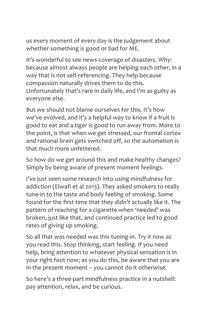us every moment of every day is the judgement about whether something is good or bad for ME.

It's wonderful to see news coverage of disasters. Why: because almost always people are helping each other, in a way that is not self-referencing. They help because compassion naturally drives them to do this. Unfortunately that's rare in daily life, and I'm as guilty as everyone else.

But we should not blame ourselves for this. It's how we've evolved, and it's a helpful way to know if a fruit is good to eat and a tiger is good to run away from. More to the point, is that when we get stressed, our frontal cortex and rational brain gets switched off, so the automation is that much more unfettered.

So how do we get around this and make healthy changes? Simply by being aware of present moment feelings.

I've just seen some research into using mindfulness for addiction (Elwafi et al 2013). They asked smokers to really tune-in to the taste and body feeling of smoking. Some found for the first time that they didn't actually like it. The pattern of reaching for a cigarette when 'needed' was broken, just like that, and continued practice led to good rates of giving up smoking.

So all that was needed was this tuning-in. Try it now as you read this. Stop thinking, start feeling. If you need help, bring attention to whatever physical sensation is in your right foot now; as you do this, be aware that you are in the present moment  $-$  you cannot do it otherwise.

So here's a three-part mindfulness practice in a nutshell: pay attention, relax, and be curious.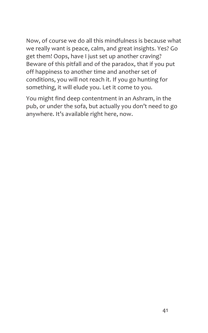Now, of course we do all this mindfulness is because what we really want is peace, calm, and great insights. Yes? Go get them! Oops, have I just set up another craving? Beware of this pitfall and of the paradox, that if you put off happiness to another time and another set of conditions, you will not reach it. If you go hunting for something, it will elude you. Let it come to you.

You might find deep contentment in an Ashram, in the pub, or under the sofa, but actually you don't need to go anywhere. It's available right here, now.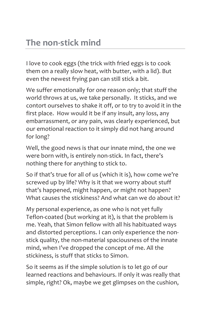#### **The non-stick mind**

I love to cook eggs (the trick with fried eggs is to cook them on a really slow heat, with butter, with a lid). But even the newest frying pan can still stick a bit.

We suffer emotionally for one reason only; that stuff the world throws at us, we take personally. It sticks, and we contort ourselves to shake it off, or to try to avoid it in the first place. How would it be if any insult, any loss, any embarrassment, or any pain, was clearly experienced, but our emotional reaction to it simply did not hang around for long?

Well, the good news is that our innate mind, the one we were born with, is entirely non-stick. In fact, there's nothing there for anything to stick to.

So if that's true for all of us (which it is), how come we're screwed up by life? Why is it that we worry about stuff that's happened, might happen, or might not happen? What causes the stickiness? And what can we do about it?

My personal experience, as one who is not yet fully Teflon-coated (but working at it), is that the problem is me. Yeah, that Simon fellow with all his habituated ways and distorted perceptions. I can only experience the nonstick quality, the non-material spaciousness of the innate mind, when I've dropped the concept of me. All the stickiness, is stuff that sticks to Simon.

So it seems as if the simple solution is to let go of our learned reactions and behaviours. If only it was really that simple, right? Ok, maybe we get glimpses on the cushion,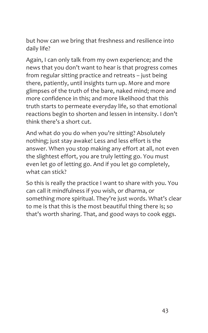but how can we bring that freshness and resilience into daily life?

Again, I can only talk from my own experience; and the news that you don't want to hear is that progress comes from regular sitting practice and retreats – just being there, patiently, until insights turn up. More and more glimpses of the truth of the bare, naked mind; more and more confidence in this; and more likelihood that this truth starts to permeate everyday life, so that emotional reactions begin to shorten and lessen in intensity. I don't think there's a short cut.

And what do you do when you're sitting? Absolutely nothing; just stay awake! Less and less effort is the answer. When you stop making any effort at all, not even the slightest effort, you are truly letting go. You must even let go of letting go. And if you let go completely, what can stick?

So this is really the practice I want to share with you. You can call it mindfulness if you wish, or dharma, or something more spiritual. They're just words. What's clear to me is that this is the most beautiful thing there is; so that's worth sharing. That, and good ways to cook eggs.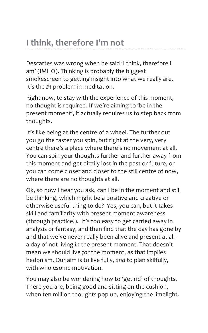#### **I think, therefore I'm not**

Descartes was wrong when he said 'I think, therefore I am' (IMHO). Thinking is probably the biggest smokescreen to getting insight into what we really are. It's the #1 problem in meditation.

Right now, to stay with the experience of this moment, no thought is required. If we're aiming to 'be in the present moment', it actually requires us to step back from thoughts.

It's like being at the centre of a wheel. The further out you go the faster you spin, but right at the very, very centre there's a place where there's no movement at all. You can spin your thoughts further and further away from this moment and get dizzily lost in the past or future, or you can come closer and closer to the still centre of now, where there are no thoughts at all.

Ok, so now I hear you ask, can I be in the moment and still be thinking, which might be a positive and creative or otherwise useful thing to do? Yes, you can, but it takes skill and familiarity with present moment awareness (through practice!). It's too easy to get carried away in analysis or fantasy, and then find that the day has gone by and that we've never really been alive and present at all  $$ a day of not living in the present moment. That doesn't mean we should live for the moment, as that implies hedonism. Our aim is to live fully, and to plan skilfully, with wholesome motivation.

You may also be wondering how to 'get rid' of thoughts. There you are, being good and sitting on the cushion, when ten million thoughts pop up, enjoying the limelight.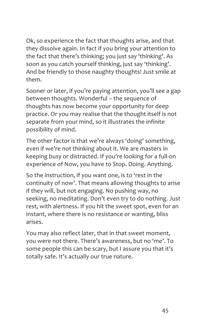Ok, so experience the fact that thoughts arise, and that they dissolve again. In fact if you bring your attention to the fact that there's thinking; you just say 'thinking'. As soon as you catch yourself thinking, just say 'thinking'. And be friendly to those naughty thoughts! Just smile at them. 

Sooner or later, if you're paying attention, you'll see a gap between thoughts. Wonderful - the sequence of thoughts has now become your opportunity for deep practice. Or you may realise that the thought itself is not separate from your mind, so it illustrates the infinite possibility of mind.

The other factor is that we're always 'doing' something, even if we're not thinking about it. We are masters in keeping busy or distracted. If you're looking for a full-on experience of Now, you have to Stop. Doing. Anything.

So the instruction, if you want one, is to 'rest in the continuity of now'. That means allowing thoughts to arise if they will, but not engaging. No pushing way, no seeking, no meditating. Don't even try to do nothing. Just rest, with alertness. If you hit the sweet spot, even for an instant, where there is no resistance or wanting, bliss arises. 

You may also reflect later, that in that sweet moment, you were not there. There's awareness, but no 'me'. To some people this can be scary, but I assure you that it's totally safe. It's actually our true nature.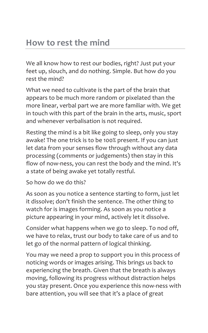#### **How to rest the mind**

We all know how to rest our bodies, right? Just put your feet up, slouch, and do nothing. Simple. But how do you rest the mind?

What we need to cultivate is the part of the brain that appears to be much more random or pixelated than the more linear, verbal part we are more familiar with. We get in touch with this part of the brain in the arts, music, sport and whenever verbalisation is not required.

Resting the mind is a bit like going to sleep, only you stay awake! The one trick is to be 100% present. If you can just let data from your senses flow through without any data processing (comments or judgements) then stay in this flow of now-ness, you can rest the body and the mind. It's a state of being awake yet totally restful.

So how do we do this?

As soon as you notice a sentence starting to form, just let it dissolve; don't finish the sentence. The other thing to watch for is images forming. As soon as you notice a picture appearing in your mind, actively let it dissolve.

Consider what happens when we go to sleep. To nod off, we have to relax, trust our body to take care of us and to let go of the normal pattern of logical thinking.

You may we need a prop to support you in this process of noticing words or images arising. This brings us back to experiencing the breath. Given that the breath is always moving, following its progress without distraction helps you stay present. Once you experience this now-ness with bare attention, you will see that it's a place of great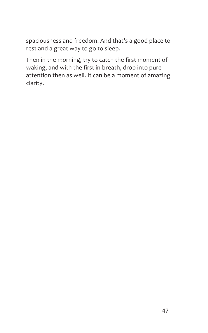spaciousness and freedom. And that's a good place to rest and a great way to go to sleep.

Then in the morning, try to catch the first moment of waking, and with the first in-breath, drop into pure attention then as well. It can be a moment of amazing clarity.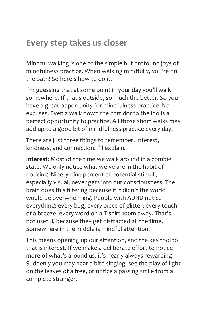#### **Every step takes us closer**

Mindful walking is one of the simple but profound joys of mindfulness practice. When walking mindfully, you're on the path! So here's how to do it.

I'm guessing that at some point in your day you'll walk somewhere. If that's outside, so much the better. So you have a great opportunity for mindfulness practice. No excuses. Even a walk down the corridor to the loo is a perfect opportunity to practice. All those short walks may add up to a good bit of mindfulness practice every day.

There are just three things to remember. Interest, kindness, and connection. I'll explain.

**Interest:** Most of the time we walk around in a zombie state. We only notice what we've are in the habit of noticing. Ninety-nine percent of potential stimuli, especially visual, never gets into our consciousness. The brain does this filtering because if it didn't the world would be overwhelming. People with ADHD notice everything; every bug, every piece of glitter, every touch of a breeze, every word on a T-shirt 100m away. That's not useful, because they get distracted all the time. Somewhere in the middle is mindful attention.

This means opening up our attention, and the key tool to that is interest. If we make a deliberate effort to notice more of what's around us, it's nearly always rewarding. Suddenly you may hear a bird singing, see the play of light on the leaves of a tree, or notice a passing smile from a complete stranger.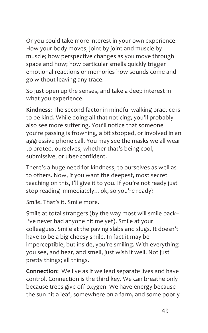Or you could take more interest in your own experience. How your body moves, joint by joint and muscle by muscle; how perspective changes as you move through space and how; how particular smells quickly trigger emotional reactions or memories how sounds come and go without leaving any trace.

So just open up the senses, and take a deep interest in what you experience.

**Kindness:** The second factor in mindful walking practice is to be kind. While doing all that noticing, you'll probably also see more suffering. You'll notice that someone you're passing is frowning, a bit stooped, or involved in an aggressive phone call. You may see the masks we all wear to protect ourselves, whether that's being cool, submissive, or uber-confident.

There's a huge need for kindness, to ourselves as well as to others. Now, if you want the deepest, most secret teaching on this, I'll give it to you. If you're not ready just stop reading immediately... ok, so you're ready?

Smile. That's it. Smile more.

Smile at total strangers (by the way most will smile back-I've never had anyone hit me yet). Smile at your colleagues. Smile at the paving slabs and slugs. It doesn't have to be a big cheesy smile. In fact it may be imperceptible, but inside, you're smiling. With everything you see, and hear, and smell, just wish it well. Not just pretty things; all things.

**Connection:** We live as if we lead separate lives and have control. Connection is the third key. We can breathe only because trees give off oxygen. We have energy because the sun hit a leaf, somewhere on a farm, and some poorly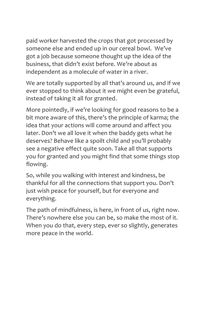paid worker harvested the crops that got processed by someone else and ended up in our cereal bowl. We've got a job because someone thought up the idea of the business, that didn't exist before. We're about as independent as a molecule of water in a river.

We are totally supported by all that's around us, and if we ever stopped to think about it we might even be grateful, instead of taking it all for granted.

More pointedly, if we're looking for good reasons to be a bit more aware of this, there's the principle of karma; the idea that your actions will come around and affect you later. Don't we all love it when the baddy gets what he deserves? Behave like a spoilt child and you'll probably see a negative effect quite soon. Take all that supports you for granted and you might find that some things stop flowing.

So, while you walking with interest and kindness, be thankful for all the connections that support you. Don't just wish peace for yourself, but for everyone and everything.

The path of mindfulness, is here, in front of us, right now. There's nowhere else you can be, so make the most of it. When you do that, every step, ever so slightly, generates more peace in the world.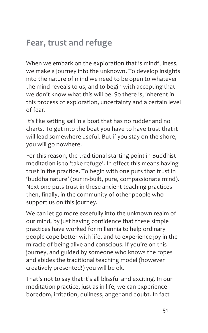### **Fear, trust and refuge**

When we embark on the exploration that is mindfulness, we make a journey into the unknown. To develop insights into the nature of mind we need to be open to whatever the mind reveals to us, and to begin with accepting that we don't know what this will be. So there is, inherent in this process of exploration, uncertainty and a certain level of fear.

It's like setting sail in a boat that has no rudder and no charts. To get into the boat you have to have trust that it will lead somewhere useful. But if you stay on the shore, you will go nowhere.

For this reason, the traditional starting point in Buddhist meditation is to 'take refuge'. In effect this means having trust in the practice. To begin with one puts that trust in 'buddha nature' (our in-built, pure, compassionate mind). Next one puts trust in these ancient teaching practices then, finally, in the community of other people who support us on this journey.

We can let go more easefully into the unknown realm of our mind, by just having confidence that these simple practices have worked for millennia to help ordinary people cope better with life, and to experience joy in the miracle of being alive and conscious. If you're on this journey, and guided by someone who knows the ropes and abides the traditional teaching model (however creatively presented!) you will be ok.

That's not to say that it's all blissful and exciting. In our meditation practice, just as in life, we can experience boredom, irritation, dullness, anger and doubt. In fact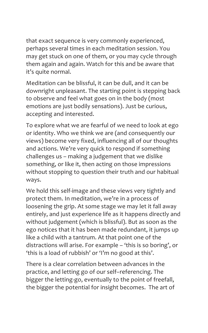that exact sequence is very commonly experienced, perhaps several times in each meditation session. You may get stuck on one of them, or you may cycle through them again and again. Watch for this and be aware that it's quite normal.

Meditation can be blissful, it can be dull, and it can be downright unpleasant. The starting point is stepping back to observe and feel what goes on in the body (most emotions are just bodily sensations). Just be curious, accepting and interested.

To explore what we are fearful of we need to look at ego or identity. Who we think we are (and consequently our views) become very fixed, influencing all of our thoughts and actions. We're very quick to respond if something challenges us – making a judgement that we dislike something, or like it, then acting on those impressions without stopping to question their truth and our habitual ways.

We hold this self-image and these views very tightly and protect them. In meditation, we're in a process of loosening the grip. At some stage we may let it fall away entirely, and just experience life as it happens directly and without judgement (which is blissful). But as soon as the ego notices that it has been made redundant, it jumps up like a child with a tantrum. At that point one of the distractions will arise. For example - 'this is so boring', or 'this is a load of rubbish' or 'I'm no good at this'.

There is a clear correlation between advances in the practice, and letting go of our self-referencing. The bigger the letting-go, eventually to the point of freefall, the bigger the potential for insight becomes. The art of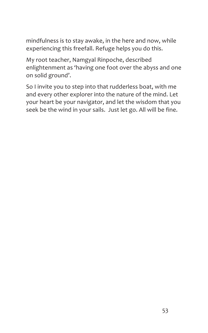mindfulness is to stay awake, in the here and now, while experiencing this freefall. Refuge helps you do this.

My root teacher, Namgyal Rinpoche, described enlightenment as 'having one foot over the abyss and one on solid ground'.

So I invite you to step into that rudderless boat, with me and every other explorer into the nature of the mind. Let your heart be your navigator, and let the wisdom that you seek be the wind in your sails. Just let go. All will be fine.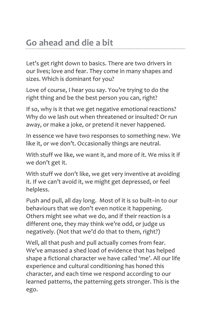#### **Go ahead and die a bit**

Let's get right down to basics. There are two drivers in our lives; love and fear. They come in many shapes and sizes. Which is dominant for you?

Love of course, I hear you say. You're trying to do the right thing and be the best person you can, right?

If so, why is it that we get negative emotional reactions? Why do we lash out when threatened or insulted? Or run away, or make a joke, or pretend it never happened.

In essence we have two responses to something new. We like it, or we don't. Occasionally things are neutral.

With stuff we like, we want it, and more of it. We miss it if we don't get it.

With stuff we don't like, we get very inventive at avoiding it. If we can't avoid it, we might get depressed, or feel helpless.

Push and pull, all day long. Most of it is so built-in to our behaviours that we don't even notice it happening. Others might see what we do, and if their reaction is a different one, they may think we're odd, or judge us negatively. (Not that we'd do that to them, right?)

Well, all that push and pull actually comes from fear. We've amassed a shed load of evidence that has helped shape a fictional character we have called 'me'. All our life experience and cultural conditioning has honed this character, and each time we respond according to our learned patterns, the patterning gets stronger. This is the ego.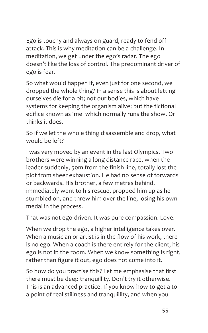Ego is touchy and always on guard, ready to fend off attack. This is why meditation can be a challenge. In meditation, we get under the ego's radar. The ego doesn't like the loss of control. The predominant driver of ego is fear.

So what would happen if, even just for one second, we dropped the whole thing? In a sense this is about letting ourselves die for a bit; not our bodies, which have systems for keeping the organism alive; but the fictional edifice known as 'me' which normally runs the show. Or thinks it does.

So if we let the whole thing disassemble and drop, what would be left?

I was very moved by an event in the last Olympics. Two brothers were winning a long distance race, when the leader suddenly, 50m from the finish line, totally lost the plot from sheer exhaustion. He had no sense of forwards or backwards. His brother, a few metres behind, immediately went to his rescue, propped him up as he stumbled on, and threw him over the line, losing his own medal in the process.

That was not ego-driven. It was pure compassion. Love.

When we drop the ego, a higher intelligence takes over. When a musician or artist is in the flow of his work, there is no ego. When a coach is there entirely for the client, his ego is not in the room. When we know something is right, rather than figure it out, ego does not come into it.

So how do you practise this? Let me emphasise that first there must be deep tranquillity. Don't try it otherwise. This is an advanced practice. If you know how to get a to a point of real stillness and tranquillity, and when you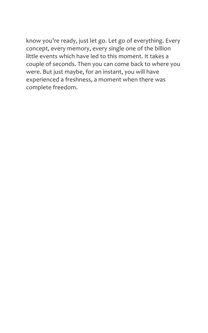know you're ready, just let go. Let go of everything. Every concept, every memory, every single one of the billion little events which have led to this moment. It takes a couple of seconds. Then you can come back to where you were. But just maybe, for an instant, you will have experienced a freshness, a moment when there was complete freedom.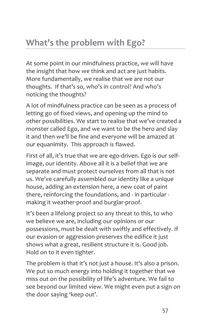At some point in our mindfulness practice, we will have the insight that how we think and act are just habits. More fundamentally, we realise that we are not our thoughts. If that's so, who's in control? And who's noticing the thoughts?

A lot of mindfulness practice can be seen as a process of letting go of fixed views, and opening up the mind to other possibilities. We start to realise that we've created a monster called Ego, and we want to be the hero and slay it and then we'll be fine and everyone will be amazed at our equanimity. This approach is flawed.

First of all, it's true that we are ego-driven. Ego is our selfimage, our identity. Above all it is a belief that we are separate and must protect ourselves from all that is not us. We've carefully assembled our identity like a unique house, adding an extension here, a new coat of paint there, reinforcing the foundations, and - in particular making it weather-proof and burglar-proof.

It's been a lifelong project so any threat to this, to who we believe we are, including our opinions or our possessions, must be dealt with swiftly and effectively. If our evasion or aggression preserves the edifice it just shows what a great, resilient structure it is. Good job. Hold on to it even tighter.

The problem is that it's not just a house. It's also a prison. We put so much energy into holding it together that we miss out on the possibility of life's adventure. We fail to see beyond our limited view. We might even put a sign on the door saying 'keep out'.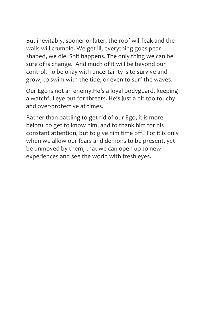But inevitably, sooner or later, the roof will leak and the walls will crumble. We get ill, everything goes pearshaped, we die. Shit happens. The only thing we can be sure of is change. And much of it will be beyond our control. To be okay with uncertainty is to survive and grow, to swim with the tide, or even to surf the waves.

Our Ego is not an enemy.He's a loyal bodyguard, keeping a watchful eye out for threats. He's just a bit too touchy and over-protective at times.

Rather than battling to get rid of our Ego, it is more helpful to get to know him, and to thank him for his constant attention, but to give him time off. For it is only when we allow our fears and demons to be present, yet be unmoved by them, that we can open up to new experiences and see the world with fresh eyes.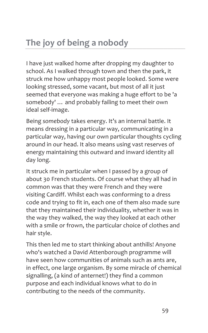# **The joy of being a nobody**

I have just walked home after dropping my daughter to school. As I walked through town and then the park, it struck me how unhappy most people looked. Some were looking stressed, some vacant, but most of all it just seemed that everyone was making a huge effort to be 'a somebody' ... and probably failing to meet their own ideal self-image.

Being somebody takes energy. It's an internal battle. It means dressing in a particular way, communicating in a particular way, having our own particular thoughts cycling around in our head. It also means using vast reserves of energy maintaining this outward and inward identity all day long.

It struck me in particular when I passed by a group of about 30 French students. Of course what they all had in common was that they were French and they were visiting Cardiff. Whilst each was conforming to a dress code and trying to fit in, each one of them also made sure that they maintained their individuality, whether it was in the way they walked, the way they looked at each other with a smile or frown, the particular choice of clothes and hair style.

This then led me to start thinking about anthills! Anyone who's watched a David Attenborough programme will have seen how communities of animals such as ants are, in effect, one large organism. By some miracle of chemical signalling, (a kind of anternet!) they find a common purpose and each individual knows what to do in contributing to the needs of the community.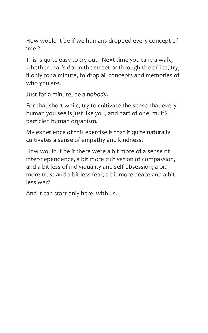How would it be if we humans dropped every concept of 'me'? 

This is quite easy to try out. Next time you take a walk, whether that's down the street or through the office, try, if only for a minute, to drop all concepts and memories of who you are.

Just for a minute, be a nobody.

For that short while, try to cultivate the sense that every human you see is just like you, and part of one, multiparticled human organism.

My experience of this exercise is that it quite naturally cultivates a sense of empathy and kindness.

How would it be if there were a bit more of a sense of inter-dependence, a bit more cultivation of compassion, and a bit less of individuality and self-obsession; a bit more trust and a bit less fear; a bit more peace and a bit less war?

And it can start only here, with us.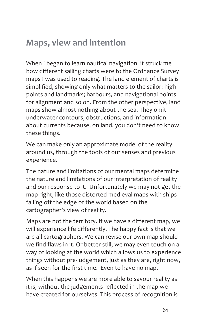#### **Maps, view and intention**

When I began to learn nautical navigation, it struck me how different sailing charts were to the Ordnance Survey maps I was used to reading. The land element of charts is simplified, showing only what matters to the sailor: high points and landmarks; harbours, and navigational points for alignment and so on. From the other perspective, land maps show almost nothing about the sea. They omit underwater contours, obstructions, and information about currents because, on land, you don't need to know these things.

We can make only an approximate model of the reality around us, through the tools of our senses and previous experience. 

The nature and limitations of our mental maps determine the nature and limitations of our interpretation of reality and our response to it. Unfortunately we may not get the map right, like those distorted medieval maps with ships falling off the edge of the world based on the cartographer's view of reality.

Maps are not the territory. If we have a different map, we will experience life differently. The happy fact is that we are all cartographers. We can revise our own map should we find flaws in it. Or better still, we may even touch on a way of looking at the world which allows us to experience things without pre-judgement, just as they are, right now, as if seen for the first time. Even to have no map.

When this happens we are more able to savour reality as it is, without the judgements reflected in the map we have created for ourselves. This process of recognition is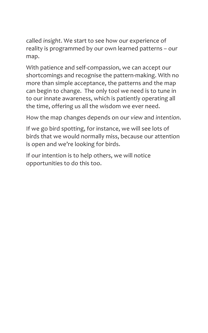called *insight*. We start to see how our experience of reality is programmed by our own learned patterns - our map. 

With patience and self-compassion, we can accept our shortcomings and recognise the pattern-making. With no more than simple acceptance, the patterns and the map can begin to change. The only tool we need is to tune in to our innate awareness, which is patiently operating all the time, offering us all the wisdom we ever need.

How the map changes depends on our *view* and *intention*.

If we go bird spotting, for instance, we will see lots of birds that we would normally miss, because our attention is open and we're looking for birds.

If our intention is to help others, we will notice opportunities to do this too.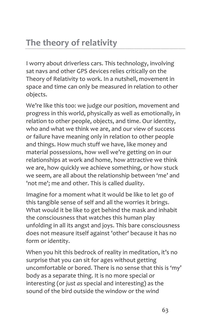## **The theory of relativity**

I worry about driverless cars. This technology, involving sat navs and other GPS devices relies critically on the Theory of Relativity to work. In a nutshell, movement in space and time can only be measured in relation to other objects.

We're like this too: we judge our position, movement and progress in this world, physically as well as emotionally, in relation to other people, objects, and time. Our identity, who and what we think we are, and our view of success or failure have meaning only in relation to other people and things. How much stuff we have, like money and material possessions, how well we're getting on in our relationships at work and home, how attractive we think we are, how quickly we achieve something, or how stuck we seem, are all about the relationship between 'me' and 'not me'; me and other. This is called *duality*.

Imagine for a moment what it would be like to let go of this tangible sense of self and all the worries it brings. What would it be like to get behind the mask and inhabit the consciousness that watches this human play unfolding in all its angst and joys. This bare consciousness does not measure itself against 'other' because it has no form or identity.

When you hit this bedrock of reality in meditation, it's no surprise that you can sit for ages without getting uncomfortable or bored. There is no sense that this is 'my' body as a separate thing. It is no more special or interesting (or just as special and interesting) as the sound of the bird outside the window or the wind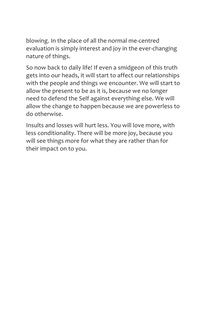blowing. In the place of all the normal me-centred evaluation is simply interest and joy in the ever-changing nature of things.

So now back to daily life! If even a smidgeon of this truth gets into our heads, it will start to affect our relationships with the people and things we encounter. We will start to allow the present to be as it is, because we no longer need to defend the Self against everything else. We will allow the change to happen because we are powerless to do otherwise. 

Insults and losses will hurt less. You will love more, with less conditionality. There will be more joy, because you will see things more for what they are rather than for their impact on to you.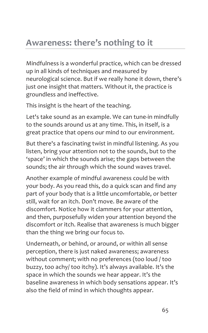#### **Awareness: there's nothing to it**

Mindfulness is a wonderful practice, which can be dressed up in all kinds of techniques and measured by neurological science. But if we really hone it down, there's just one insight that matters. Without it, the practice is groundless and ineffective.

This insight is the heart of the teaching.

Let's take sound as an example. We can tune-in mindfully to the sounds around us at any time. This, in itself, is a great practice that opens our mind to our environment.

But there's a fascinating twist in mindful listening. As you listen, bring your attention not to the sounds, but to the 'space' in which the sounds arise; the gaps between the sounds; the air through which the sound waves travel.

Another example of mindful awareness could be with your body. As you read this, do a quick scan and find any part of your body that is a little uncomfortable, or better still, wait for an itch. Don't move. Be aware of the discomfort. Notice how it clammers for your attention. and then, purposefully widen your attention beyond the discomfort or itch. Realise that awareness is much bigger than the thing we bring our focus to.

Underneath, or behind, or around, or within all sense perception, there is just naked awareness; awareness without comment; with no preferences (too loud / too buzzy, too achy/ too itchy). It's always available. It's the space in which the sounds we hear appear. It's the baseline awareness in which body sensations appear. It's also the field of mind in which thoughts appear.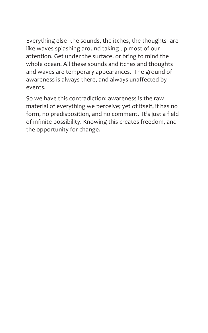Everything else-the sounds, the itches, the thoughts-are like waves splashing around taking up most of our attention. Get under the surface, or bring to mind the whole ocean. All these sounds and itches and thoughts and waves are temporary appearances. The ground of awareness is always there, and always unaffected by events. 

So we have this contradiction: awareness is the raw material of everything we perceive; yet of itself, it has no form, no predisposition, and no comment. It's just a field of infinite possibility. Knowing this creates freedom, and the opportunity for change.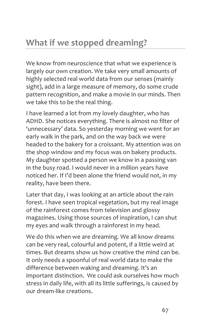### **What if we stopped dreaming?**

We know from neuroscience that what we experience is largely our own creation. We take very small amounts of highly selected real world data from our senses (mainly sight), add in a large measure of memory, do some crude pattern recognition, and make a movie in our minds. Then we take this to be the real thing.

I have learned a lot from my lovely daughter, who has ADHD. She notices everything. There is almost no filter of 'unnecessary' data. So yesterday morning we went for an early walk in the park, and on the way back we were headed to the bakery for a croissant. My attention was on the shop window and my focus was on bakery products. My daughter spotted a person we know in a passing van in the busy road. I would never in a million years have noticed her. If I'd been alone the friend would not, in my reality, have been there.

Later that day, I was looking at an article about the rain forest. I have seen tropical vegetation, but my real image of the rainforest comes from television and glossy magazines. Using those sources of inspiration, I can shut my eyes and walk through a rainforest in my head.

We do this when we are dreaming. We all know dreams can be very real, colourful and potent, if a little weird at times. But dreams show us how creative the mind can be. It only needs a spoonful of real world data to make the difference between waking and dreaming. It's an important distinction. We could ask ourselves how much stress in daily life, with all its little sufferings, is caused by our dream-like creations.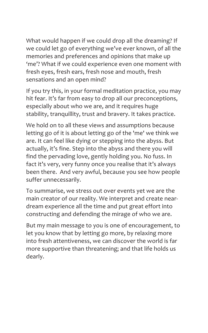What would happen if we could drop all the dreaming? If we could let go of everything we've ever known, of all the memories and preferences and opinions that make up 'me'? What if we could experience even one moment with fresh eyes, fresh ears, fresh nose and mouth, fresh sensations and an open mind?

If you try this, in your formal meditation practice, you may hit fear. It's far from easy to drop all our preconceptions, especially about who we are, and it requires huge stability, tranquillity, trust and bravery. It takes practice.

We hold on to all these views and assumptions because letting go of it is about letting go of the 'me' we think we are. It can feel like dying or stepping into the abyss. But actually, it's fine. Step into the abyss and there you will find the pervading love, gently holding you. No fuss. In fact it's very, very funny once you realise that it's always been there. And very awful, because you see how people suffer unnecessarily.

To summarise, we stress out over events yet we are the main creator of our reality. We interpret and create neardream experience all the time and put great effort into constructing and defending the mirage of who we are.

But my main message to you is one of encouragement, to let you know that by letting go more, by relaxing more into fresh attentiveness, we can discover the world is far more supportive than threatening; and that life holds us dearly.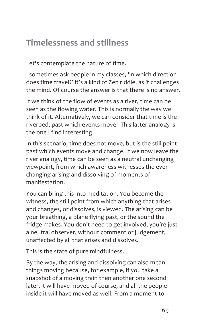### **Timelessness and stillness**

Let's contemplate the nature of time.

I sometimes ask people in my classes, 'in which direction does time travel?' It's a kind of Zen riddle, as it challenges the mind. Of course the answer is that there is no answer.

If we think of the flow of events as a river, time can be seen as the flowing water. This is normally the way we think of it. Alternatively, we can consider that time is the riverbed, past which events move. This latter analogy is the one I find interesting.

In this scenario, time does not move, but is the still point past which events move and change. If we now leave the river analogy, time can be seen as a neutral unchanging viewpoint, from which awareness witnesses the everchanging arising and dissolving of moments of manifestation.

You can bring this into meditation. You become the witness, the still point from which anything that arises and changes, or dissolves, is viewed. The arising can be your breathing, a plane flying past, or the sound the fridge makes. You don't need to get involved, you're just a neutral observer, without comment or judgement, unaffected by all that arises and dissolves.

This is the state of pure mindfulness.

By the way, the arising and dissolving can also mean things moving because, for example, if you take a snapshot of a moving train then another one second later, it will have moved of course, and all the people inside it will have moved as well. From a moment-to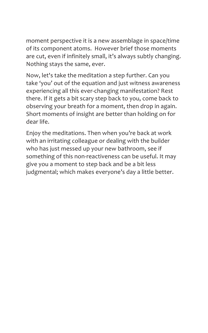moment perspective it is a new assemblage in space/time of its component atoms. However brief those moments are cut, even if infinitely small, it's always subtly changing. Nothing stays the same, ever.

Now, let's take the meditation a step further. Can you take 'you' out of the equation and just witness awareness experiencing all this ever-changing manifestation? Rest there. If it gets a bit scary step back to you, come back to observing your breath for a moment, then drop in again. Short moments of insight are better than holding on for dear life. 

Enjoy the meditations. Then when you're back at work with an irritating colleague or dealing with the builder who has just messed up your new bathroom, see if something of this non-reactiveness can be useful. It may give you a moment to step back and be a bit less judgmental; which makes everyone's day a little better.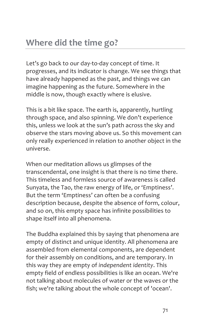### **Where did the time go?**

Let's go back to our day-to-day concept of time. It progresses, and its indicator is change. We see things that have already happened as the past, and things we can imagine happening as the future. Somewhere in the middle is now, though exactly where is elusive.

This is a bit like space. The earth is, apparently, hurtling through space, and also spinning. We don't experience this, unless we look at the sun's path across the sky and observe the stars moving above us. So this movement can only really experienced in relation to another object in the universe. 

When our meditation allows us glimpses of the transcendental, one insight is that there is no time there. This timeless and formless source of awareness is called Sunyata, the Tao, the raw energy of life, or 'Emptiness'. But the term 'Emptiness' can often be a confusing description because, despite the absence of form, colour, and so on, this empty space has infinite possibilities to shape itself into all phenomena.

The Buddha explained this by saying that phenomena are empty of distinct and unique identity. All phenomena are assembled from elemental components, are dependent for their assembly on conditions, and are temporary. In this way they are empty of *independent identity*. This empty field of endless possibilities is like an ocean. We're not talking about molecules of water or the waves or the fish; we're talking about the whole concept of 'ocean'.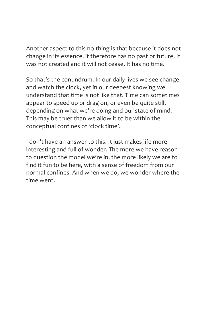Another aspect to this no-thing is that because it does not change in its essence, it therefore has no past or future. It was not created and it will not cease. It has no time.

So that's the conundrum. In our daily lives we see change and watch the clock, yet in our deepest knowing we understand that time is not like that. Time can sometimes appear to speed up or drag on, or even be quite still, depending on what we're doing and our state of mind. This may be truer than we allow it to be within the conceptual confines of 'clock time'.

I don't have an answer to this. It just makes life more interesting and full of wonder. The more we have reason to question the model we're in, the more likely we are to find it fun to be here, with a sense of freedom from our normal confines. And when we do, we wonder where the time went.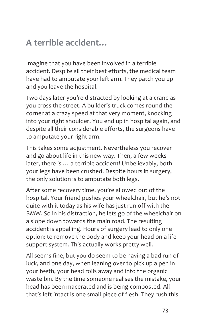### **A terrible accident…**

Imagine that you have been involved in a terrible accident. Despite all their best efforts, the medical team have had to amputate your left arm. They patch you up and you leave the hospital.

Two days later you're distracted by looking at a crane as you cross the street. A builder's truck comes round the corner at a crazy speed at that very moment, knocking into your right shoulder. You end up in hospital again, and despite all their considerable efforts, the surgeons have to amputate your right arm.

This takes some adjustment. Nevertheless you recover and go about life in this new way. Then, a few weeks later, there is ... a terrible accident! Unbelievably, both your legs have been crushed. Despite hours in surgery, the only solution is to amputate both legs.

After some recovery time, you're allowed out of the hospital. Your friend pushes your wheelchair, but he's not quite with it today as his wife has just run off with the BMW. So in his distraction, he lets go of the wheelchair on a slope down towards the main road. The resulting accident is appalling. Hours of surgery lead to only one option: to remove the body and keep your head on a life support system. This actually works pretty well.

All seems fine, but you do seem to be having a bad run of luck, and one day, when leaning over to pick up a pen in your teeth, your head rolls away and into the organic waste bin. By the time someone realises the mistake, your head has been macerated and is being composted. All that's left intact is one small piece of flesh. They rush this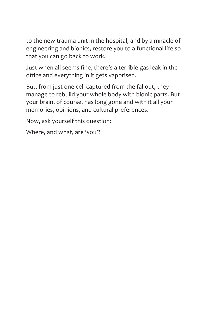to the new trauma unit in the hospital, and by a miracle of engineering and bionics, restore you to a functional life so that you can go back to work.

Just when all seems fine, there's a terrible gas leak in the office and everything in it gets vaporised.

But, from just one cell captured from the fallout, they manage to rebuild your whole body with bionic parts. But your brain, of course, has long gone and with it all your memories, opinions, and cultural preferences.

Now, ask yourself this question:

Where, and what, are 'you'?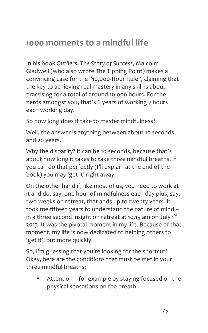#### **1000 moments to a mindful life**

In his book Outliers: The Story of Success, Malcolm Gladwell (who also wrote The Tipping Point) makes a convincing case for the "10,000-Hour Rule", claiming that the key to achieving real mastery in any skill is about practising for a total of around 10,000 hours. For the nerds amongst you, that's 6 years of working 7 hours each working day.

So how long does it take to master mindfulness?

Well, the answer is anything between about 10 seconds and 20 years.

Why the disparity? It can be 10 seconds, because that's about how long it takes to take three mindful breaths. If you can do that perfectly (I'll explain at the end of the book) you may 'get it' right away.

On the other hand if, like most of us, you need to work at it and do, say, one hour of mindfulness each day plus, say, two weeks on retreat, that adds up to twenty years. It took me fifteen years to understand the nature of mind in a three second insight on retreat at 10.15 am on July  $1<sup>st</sup>$ 2013. It was the pivotal moment in my life. Because of that moment, my life is now dedicated to helping others to 'get it', but more quickly!

So, I'm guessing that you're looking for the shortcut! Okay, here are the conditions that must be met in your three mindful breaths:

Attention  $-$  for example by staying focused on the physical sensations on the breath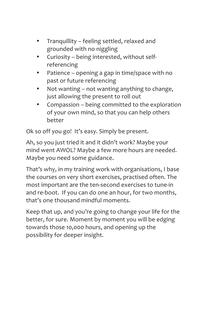- Tranquillity feeling settled, relaxed and grounded with no niggling
- Curiosity being interested, without selfreferencing
- Patience opening a gap in time/space with no past or future referencing
- Not wanting  $-$  not wanting anything to change, just allowing the present to roll out
- Compassion being committed to the exploration of your own mind, so that you can help others better

Ok so off you go! It's easy. Simply be present.

Ah, so you just tried it and it didn't work? Maybe your mind went AWOL? Maybe a few more hours are needed. Maybe you need some guidance.

That's why, in my training work with organisations, I base the courses on very short exercises, practised often. The most important are the ten-second exercises to tune-in and re-boot. If you can do one an hour, for two months, that's one thousand mindful moments.

Keep that up, and you're going to change your life for the better, for sure. Moment by moment you will be edging towards those 10,000 hours, and opening up the possibility for deeper insight.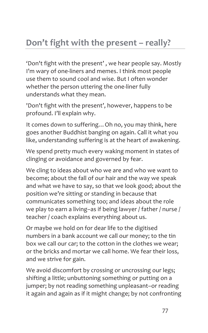## **Don't fight with the present – really?**

'Don't fight with the present', we hear people say. Mostly I'm wary of one-liners and memes. I think most people use them to sound cool and wise. But I often wonder whether the person uttering the one-liner fully understands what they mean.

'Don't fight with the present', however, happens to be profound. I'll explain why.

It comes down to suffering... Oh no, you may think, here goes another Buddhist banging on again. Call it what you like, understanding suffering is at the heart of awakening.

We spend pretty much every waking moment in states of clinging or avoidance and governed by fear.

We cling to ideas about who we are and who we want to become; about the fall of our hair and the way we speak and what we have to say, so that we look good; about the position we're sitting or standing in because that communicates something too; and ideas about the role we play to earn a living–as if being lawyer / father / nurse / teacher / coach explains everything about us.

Or maybe we hold on for dear life to the digitised numbers in a bank account we call our money; to the tin box we call our car; to the cotton in the clothes we wear; or the bricks and mortar we call home. We fear their loss, and we strive for gain.

We avoid discomfort by crossing or uncrossing our legs; shifting a little; unbuttoning something or putting on a jumper; by not reading something unpleasant-or reading it again and again as if it might change; by not confronting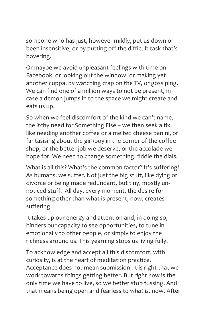someone who has just, however mildly, put us down or been insensitive; or by putting off the difficult task that's hovering.

Or maybe we avoid unpleasant feelings with time on Facebook, or looking out the window, or making yet another cuppa, by watching crap on the TV, or gossiping. We can find one of a million ways to not be present, in case a demon jumps in to the space we might create and eats us up.

So when we feel discomfort of the kind we can't name, the itchy need for Something Else - we then seek a fix, like needing another coffee or a melted cheese panini, or fantasising about the girl/boy in the corner of the coffee shop, or the better job we deserve, or the accolade we hope for. We need to change something, fiddle the dials.

What is all this? What's the common factor? It's suffering! As humans, we suffer. Not just the big stuff, like dying or divorce or being made redundant, but tiny, mostly unnoticed stuff. All day, every moment, the desire for something other than what is present, now, creates suffering. 

It takes up our energy and attention and, in doing so, hinders our capacity to see opportunities, to tune in emotionally to other people, or simply to enjoy the richness around us. This yearning stops us living fully.

To acknowledge and accept all this discomfort, with curiosity, is at the heart of meditation practice. Acceptance does not mean submission. It is right that we work towards things getting better. But right now is the only time we have to live, so we better stop fussing. And that means being open and fearless to what is, now. After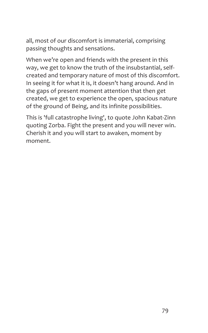all, most of our discomfort is immaterial, comprising passing thoughts and sensations.

When we're open and friends with the present in this way, we get to know the truth of the insubstantial, selfcreated and temporary nature of most of this discomfort. In seeing it for what it is, it doesn't hang around. And in the gaps of present moment attention that then get created, we get to experience the open, spacious nature of the ground of Being, and its infinite possibilities.

This is 'full catastrophe living', to quote John Kabat-Zinn quoting Zorba. Fight the present and you will never win. Cherish it and you will start to awaken, moment by moment.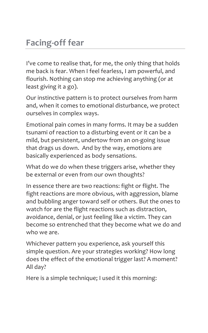## **Facing-off fear**

I've come to realise that, for me, the only thing that holds me back is fear. When I feel fearless, I am powerful, and flourish. Nothing can stop me achieving anything (or at least giving it a go).

Our instinctive pattern is to protect ourselves from harm and, when it comes to emotional disturbance, we protect ourselves in complex ways.

Emotional pain comes in many forms. It may be a sudden tsunami of reaction to a disturbing event or it can be a mild, but persistent, undertow from an on-going issue that drags us down. And by the way, emotions are basically experienced as body sensations.

What do we do when these triggers arise, whether they be external or even from our own thoughts?

In essence there are two reactions: fight or flight. The fight reactions are more obvious, with aggression, blame and bubbling anger toward self or others. But the ones to watch for are the flight reactions such as distraction, avoidance, denial, or just feeling like a victim. They can become so entrenched that they become what we do and who we are.

Whichever pattern you experience, ask yourself this simple question. Are your strategies working? How long does the effect of the emotional trigger last? A moment? All day?

Here is a simple technique; I used it this morning: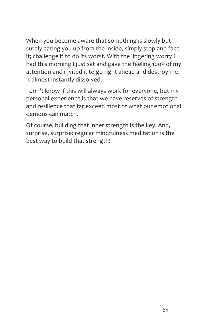When you become aware that something is slowly but surely eating you up from the inside, simply stop and face it; challenge it to do its worst. With the lingering worry I had this morning I just sat and gave the feeling 100% of my attention and invited it to go right ahead and destroy me. It almost instantly dissolved.

I don't know if this will always work for everyone, but my personal experience is that we have reserves of strength and resilience that far exceed most of what our emotional demons can match.

Of course, building that inner strength is the key. And, surprise, surprise: regular mindfulness meditation is the best way to build that strength!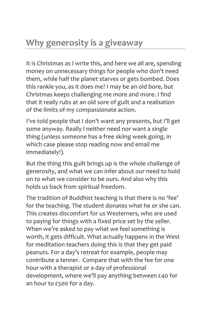## **Why generosity is a giveaway**

It is Christmas as I write this, and here we all are, spending money on unnecessary things for people who don't need them, while half the planet starves or gets bombed. Does this rankle you, as it does me? I may be an old bore, but Christmas keeps challenging me more and more. I find that it really rubs at an old sore of guilt and a realisation of the limits of my compassionate action.

I've told people that I don't want any presents, but I'll get some anyway. Really I neither need nor want a single thing (unless someone has a free skiing week going, in which case please stop reading now and email me immediately!). 

But the thing this guilt brings up is the whole challenge of generosity, and what we can infer about our need to hold on to what we consider to be ours. And also why this holds us back from spiritual freedom.

The tradition of Buddhist teaching is that there is no 'fee' for the teaching. The student donates what he or she can. This creates discomfort for us Westerners, who are used to paying for things with a fixed price set by the seller. When we're asked to pay what we feel something is worth, it gets difficult. What actually happens in the West for meditation teachers doing this is that they get paid peanuts. For a day's retreat for example, people may contribute a tenner. Compare that with the fee for one hour with a therapist or a day of professional development, where we'll pay anything between £40 for an hour to £500 for a day.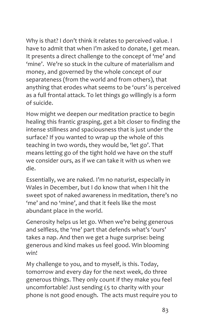Why is that? I don't think it relates to perceived value. I have to admit that when I'm asked to donate, I get mean. It presents a direct challenge to the concept of 'me' and 'mine'. We're so stuck in the culture of materialism and money, and governed by the whole concept of our separateness (from the world and from others), that anything that erodes what seems to be 'ours' is perceived as a full frontal attack. To let things go willingly is a form of suicide.

How might we deepen our meditation practice to begin healing this frantic grasping, get a bit closer to finding the intense stillness and spaciousness that is just under the surface? If you wanted to wrap up the whole of this teaching in two words, they would be, 'let go'. That means letting go of the tight hold we have on the stuff we consider ours, as if we can take it with us when we die. 

Essentially, we are naked. I'm no naturist, especially in Wales in December, but I do know that when I hit the sweet spot of naked awareness in meditation, there's no 'me' and no 'mine', and that it feels like the most abundant place in the world.

Generosity helps us let go. When we're being generous and selfless, the 'me' part that defends what's 'ours' takes a nap. And then we get a huge surprise: being generous and kind makes us feel good. Win blooming win! 

My challenge to you, and to myself, is this. Today, tomorrow and every day for the next week, do three generous things. They only count if they make you feel uncomfortable! Just sending £5 to charity with your phone is not good enough. The acts must require you to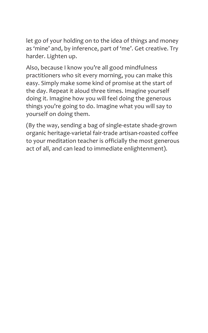let go of your holding on to the idea of things and money as 'mine' and, by inference, part of 'me'. Get creative. Try harder. Lighten up.

Also, because I know you're all good mindfulness practitioners who sit every morning, you can make this easy. Simply make some kind of promise at the start of the day. Repeat it aloud three times. Imagine yourself doing it. Imagine how you will feel doing the generous things you're going to do. Imagine what you will say to yourself on doing them.

(By the way, sending a bag of single-estate shade-grown organic heritage-varietal fair-trade artisan-roasted coffee to your meditation teacher is officially the most generous act of all, and can lead to immediate enlightenment).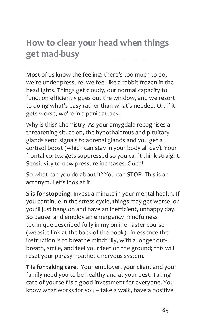### **How to clear your head when things get mad-busy**

Most of us know the feeling: there's too much to do, we're under pressure; we feel like a rabbit frozen in the headlights. Things get cloudy, our normal capacity to function efficiently goes out the window, and we resort to doing what's easy rather than what's needed. Or, if it gets worse, we're in a panic attack.

Why is this? Chemistry. As your amygdala recognises a threatening situation, the hypothalamus and pituitary glands send signals to adrenal glands and you get a cortisol boost (which can stay in your body all day). Your frontal cortex gets suppressed so you can't think straight. Sensitivity to new pressure increases. Ouch!

So what can you do about it? You can **STOP**. This is an acronym. Let's look at it.

**S** is for stopping. Invest a minute in your mental health. If you continue in the stress cycle, things may get worse, or you'll just hang on and have an inefficient, unhappy day. So pause, and employ an emergency mindfulness technique described fully in my online Taster course (website link at the back of the book) - in essence the instruction is to breathe mindfully, with a longer outbreath, smile, and feel your feet on the ground; this will reset your parasympathetic nervous system.

**T** is for taking care. Your employer, your client and your family need you to be healthy and at your best. Taking care of yourself is a good investment for everyone. You know what works for you – take a walk, have a positive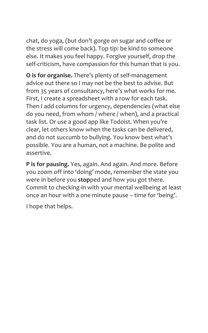chat, do yoga, (but don't gorge on sugar and coffee or the stress will come back). Top tip: be kind to someone else. It makes you feel happy. Forgive yourself, drop the self-criticism, have compassion for this human that is you.

**O** is for organise. There's plenty of self-management advice out there so I may not be the best to advise. But from 35 years of consultancy, here's what works for me. First, I create a spreadsheet with a row for each task. Then I add columns for urgency, dependencies (what else do you need, from whom / where / when), and a practical task list. Or use a good app like Todoist. When you're clear. let others know when the tasks can be delivered, and do not succumb to bullying. You know best what's possible. You are a human, not a machine. Be polite and assertive.

P is for pausing. Yes, again. And again. And more. Before you zoom off into 'doing' mode, remember the state you were in before you **stop**ped and how you got there. Commit to checking-in with your mental wellbeing at least once an hour with a one minute pause - time for 'being'.

I hope that helps.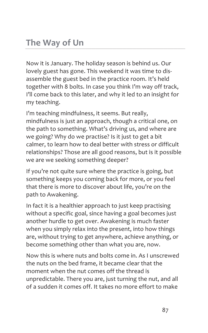### **The Way of Un**

Now it is January. The holiday season is behind us. Our lovely guest has gone. This weekend it was time to disassemble the guest bed in the practice room. It's held together with 8 bolts. In case you think I'm way off track, I'll come back to this later, and why it led to an insight for my teaching.

I'm teaching mindfulness, it seems. But really, mindfulness is just an approach, though a critical one, on the path to something. What's driving us, and where are we going? Why do we practise? Is it just to get a bit calmer, to learn how to deal better with stress or difficult relationships? Those are all good reasons, but is it possible we are we seeking something deeper?

If you're not quite sure where the practice is going, but something keeps you coming back for more, or you feel that there is more to discover about life, you're on the path to Awakening.

In fact it is a healthier approach to just keep practising without a specific goal, since having a goal becomes just another hurdle to get over. Awakening is much faster when you simply relax into the present, into how things are, without trying to get anywhere, achieve anything, or become something other than what you are, now.

Now this is where nuts and bolts come in. As Lunscrewed the nuts on the bed frame, it became clear that the moment when the nut comes off the thread is unpredictable. There you are, just turning the nut, and all of a sudden it comes off. It takes no more effort to make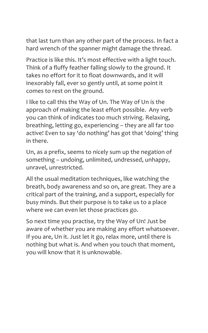that last turn than any other part of the process. In fact a hard wrench of the spanner might damage the thread.

Practice is like this. It's most effective with a light touch. Think of a fluffy feather falling slowly to the ground. It takes no effort for it to float downwards, and it will inexorably fall, ever so gently until, at some point it comes to rest on the ground.

I like to call this the Way of Un. The Way of Un is the approach of making the least effort possible. Any verb you can think of indicates too much striving. Relaxing, breathing, letting go, experiencing - they are all far too active! Even to say 'do nothing' has got that 'doing' thing in there. 

Un, as a prefix, seems to nicely sum up the negation of something – undoing, unlimited, undressed, unhappy, unravel, unrestricted.

All the usual meditation techniques, like watching the breath, body awareness and so on, are great. They are a critical part of the training, and a support, especially for busy minds. But their purpose is to take us to a place where we can even let those practices go.

So next time you practise, try the Way of Un! Just be aware of whether you are making any effort whatsoever. If you are, Un it. Just let it go, relax more, until there is nothing but what is. And when you touch that moment, you will know that it is unknowable.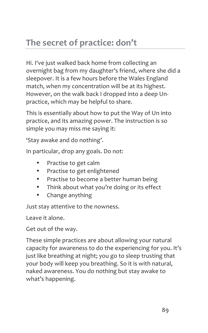## **The secret of practice: don't**

Hi. I've just walked back home from collecting an overnight bag from my daughter's friend, where she did a sleepover. It is a few hours before the Wales England match, when my concentration will be at its highest. However, on the walk back I dropped into a deep Unpractice, which may be helpful to share.

This is essentially about how to put the Way of Un into practice, and its amazing power. The instruction is so simple you may miss me saying it:

'Stay awake and do nothing'.

In particular, drop any goals. Do not:

- Practise to get calm
- Practise to get enlightened
- Practise to become a better human being
- Think about what you're doing or its effect
- Change anything

Just stay attentive to the nowness.

Leave it alone. 

Get out of the way.

These simple practices are about allowing your natural capacity for awareness to do the experiencing for you. It's just like breathing at night; you go to sleep trusting that your body will keep you breathing. So it is with natural, naked awareness. You do nothing but stay awake to what's happening.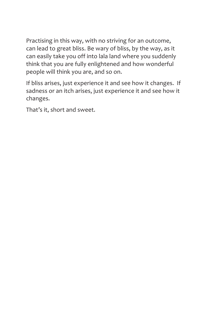Practising in this way, with no striving for an outcome, can lead to great bliss. Be wary of bliss, by the way, as it can easily take you off into lala land where you suddenly think that you are fully enlightened and how wonderful people will think you are, and so on.

If bliss arises, just experience it and see how it changes. If sadness or an itch arises, just experience it and see how it changes. 

That's it, short and sweet.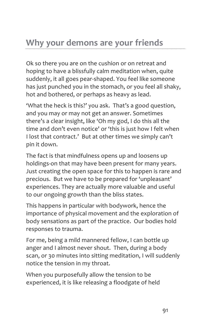## **Why your demons are your friends**

Ok so there you are on the cushion or on retreat and hoping to have a blissfully calm meditation when, quite suddenly, it all goes pear-shaped. You feel like someone has just punched you in the stomach, or you feel all shaky, hot and bothered, or perhaps as heavy as lead.

'What the heck is this?' you ask. That's a good question, and you may or may not get an answer. Sometimes there's a clear insight, like 'Oh my god, I do this all the time and don't even notice' or 'this is just how I felt when I lost that contract.' But at other times we simply can't pin it down.

The fact is that mindfulness opens up and loosens up holdings-on that may have been present for many years. Just creating the open space for this to happen is rare and precious. But we have to be prepared for 'unpleasant' experiences. They are actually more valuable and useful to our ongoing growth than the bliss states.

This happens in particular with bodywork, hence the importance of physical movement and the exploration of body sensations as part of the practice. Our bodies hold responses to trauma.

For me, being a mild mannered fellow, I can bottle up anger and I almost never shout. Then, during a body scan, or 30 minutes into sitting meditation, I will suddenly notice the tension in my throat.

When you purposefully allow the tension to be experienced, it is like releasing a floodgate of held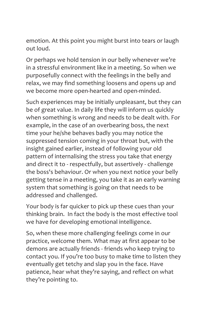emotion. At this point you might burst into tears or laugh out loud.

Or perhaps we hold tension in our belly whenever we're in a stressful environment like in a meeting. So when we purposefully connect with the feelings in the belly and relax, we may find something loosens and opens up and we become more open-hearted and open-minded.

Such experiences may be initially unpleasant, but they can be of great value. In daily life they will inform us quickly when something is wrong and needs to be dealt with. For example, in the case of an overbearing boss, the next time your he/she behaves badly you may notice the suppressed tension coming in your throat but, with the insight gained earlier, instead of following your old pattern of internalising the stress you take that energy and direct it to - respectfully, but assertively - challenge the boss's behaviour. Or when you next notice your belly getting tense in a meeting, you take it as an early warning system that something is going on that needs to be addressed and challenged.

Your body is far quicker to pick up these cues than your thinking brain. In fact the body is the most effective tool we have for developing emotional intelligence.

So, when these more challenging feelings come in our practice, welcome them. What may at first appear to be demons are actually friends - friends who keep trying to contact you. If you're too busy to make time to listen they eventually get tetchy and slap you in the face. Have patience, hear what they're saying, and reflect on what they're pointing to.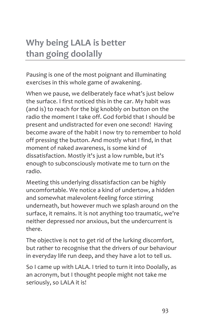### **Why being LALA is better than going doolally**

Pausing is one of the most poignant and illuminating exercises in this whole game of awakening.

When we pause, we deliberately face what's just below the surface. I first noticed this in the car. My habit was (and is) to reach for the big knobbly on button on the radio the moment I take off. God forbid that I should be present and undistracted for even one second! Having become aware of the habit I now try to remember to hold off pressing the button. And mostly what I find, in that moment of naked awareness, is some kind of dissatisfaction. Mostly it's just a low rumble, but it's enough to subconsciously motivate me to turn on the radio.

Meeting this underlying dissatisfaction can be highly uncomfortable. We notice a kind of undertow, a hidden and somewhat malevolent-feeling force stirring underneath, but however much we splash around on the surface, it remains. It is not anything too traumatic, we're neither depressed nor anxious, but the undercurrent is there. 

The objective is not to get rid of the lurking discomfort, but rather to recognise that the drivers of our behaviour in everyday life run deep, and they have a lot to tell us.

So I came up with LALA. I tried to turn it into Doolally, as an acronym, but I thought people might not take me seriously, so LALA it is!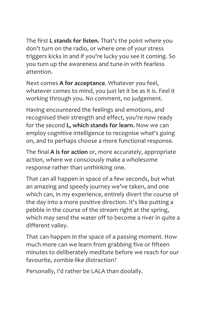The first L stands for listen. That's the point where you don't turn on the radio, or where one of your stress triggers kicks in and if you're lucky you see it coming. So you turn up the awareness and tune-in with fearless attention.

Next comes A for acceptance. Whatever you feel, whatever comes to mind, you just let it be as it is. Feel it working through you. No comment, no judgement.

Having encountered the feelings and emotions, and recognised their strength and effect, you're now ready for the second L, which stands for learn. Now we can employ cognitive intelligence to recognise what's going on, and to perhaps choose a more functional response.

The final A is for action or, more accurately, appropriate action, where we consciously make a wholesome response rather than unthinking one.

That can all happen in space of a few seconds, but what an amazing and speedy journey we've taken, and one which can, in my experience, entirely divert the course of the day into a more positive direction. It's like putting a pebble in the course of the stream right at the spring, which may send the water off to become a river in quite a different valley.

That can happen in the space of a passing moment. How much more can we learn from grabbing five or fifteen minutes to deliberately meditate before we reach for our favourite, zombie-like distraction?

Personally, I'd rather be LALA than doolally.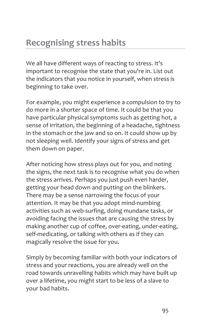### **Recognising stress habits**

We all have different ways of reacting to stress. It's important to recognise the state that you're in. List out the indicators that you notice in yourself, when stress is beginning to take over.

For example, you might experience a compulsion to try to do more in a shorter space of time. It could be that you have particular physical symptoms such as getting hot, a sense of irritation, the beginning of a headache, tightness in the stomach or the jaw and so on. It could show up by not sleeping well. Identify your signs of stress and get them down on paper.

After noticing how stress plays out for you, and noting the signs, the next task is to recognise what you do when the stress arrives. Perhaps you just push even harder, getting your head down and putting on the blinkers. There may be a sense narrowing the focus of your attention. It may be that you adopt mind-numbing activities such as web-surfing, doing mundane tasks, or avoiding facing the issues that are causing the stress by making another cup of coffee, over-eating, under-eating, self-medicating, or talking with others as if they can magically resolve the issue for you.

Simply by becoming familiar with both your indicators of stress and your reactions, you are already well on the road towards unravelling habits which may have built up over a lifetime, you might start to be less of a slave to your bad habits.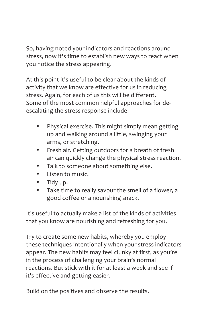So, having noted your indicators and reactions around stress, now it's time to establish new ways to react when you notice the stress appearing.

At this point it's useful to be clear about the kinds of activity that we know are effective for us in reducing stress. Again, for each of us this will be different. Some of the most common helpful approaches for deescalating the stress response include:

- Physical exercise. This might simply mean getting up and walking around a little, swinging your arms, or stretching.
- Fresh air. Getting outdoors for a breath of fresh air can quickly change the physical stress reaction.
- Talk to someone about something else.
- Listen to music.
- Tidy up.
- Take time to really savour the smell of a flower, a good coffee or a nourishing snack.

It's useful to actually make a list of the kinds of activities that you know are nourishing and refreshing for you.

Try to create some new habits, whereby you employ these techniques intentionally when your stress indicators appear. The new habits may feel clunky at first, as you're in the process of challenging your brain's normal reactions. But stick with it for at least a week and see if it's effective and getting easier.

Build on the positives and observe the results.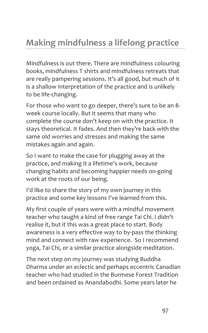# **Making mindfulness a lifelong practice**

Mindfulness is out there. There are mindfulness colouring books, mindfulness T shirts and mindfulness retreats that are really pampering sessions. It's all good, but much of it is a shallow interpretation of the practice and is unlikely to be life-changing.

For those who want to go deeper, there's sure to be an 8week course locally. But it seems that many who complete the course don't keep on with the practice. It stays theoretical. It fades. And then they're back with the same old worries and stresses and making the same mistakes again and again.

So I want to make the case for plugging away at the practice, and making it a lifetime's work, because changing habits and becoming happier needs on-going work at the roots of our being.

I'd like to share the story of my own journey in this practice and some key lessons I've learned from this.

My first couple of years were with a mindful movement teacher who taught a kind of free range Tai Chi. I didn't realise it, but it this was a great place to start. Body awareness is a very effective way to by-pass the thinking mind and connect with raw experience. So I recommend yoga, Tai Chi, or a similar practice alongside meditation.

The next step on my journey was studying Buddha Dharma under an eclectic and perhaps eccentric Canadian teacher who had studied in the Burmese Forest Tradition and been ordained as Anandabodhi. Some years later he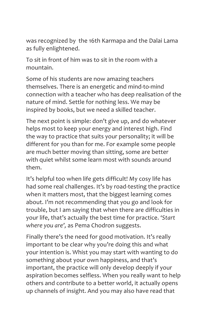was recognized by the 16th Karmapa and the Dalai Lama as fully enlightened.

To sit in front of him was to sit in the room with a mountain. 

Some of his students are now amazing teachers themselves. There is an energetic and mind-to-mind connection with a teacher who has deep realisation of the nature of mind. Settle for nothing less. We may be inspired by books, but we need a skilled teacher.

The next point is simple: don't give up, and do whatever helps most to keep your energy and interest high. Find the way to practice that suits your personality; it will be different for you than for me. For example some people are much better moving than sitting, some are better with quiet whilst some learn most with sounds around them.

It's helpful too when life gets difficult! My cosy life has had some real challenges. It's by road-testing the practice when it matters most, that the biggest learning comes about. I'm not recommending that you go and look for trouble, but I am saying that when there are difficulties in your life, that's actually the best time for practice. 'Start where you are', as Pema Chodron suggests.

Finally there's the need for good motivation. It's really important to be clear why you're doing this and what your intention is. Whist you may start with wanting to do something about your own happiness, and that's important, the practice will only develop deeply if your aspiration becomes selfless. When you really want to help others and contribute to a better world, it actually opens up channels of insight. And you may also have read that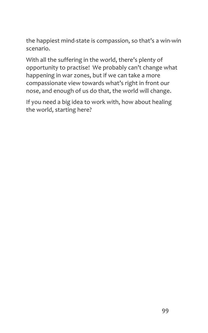the happiest mind-state is compassion, so that's a win-win scenario. 

With all the suffering in the world, there's plenty of opportunity to practise! We probably can't change what happening in war zones, but if we can take a more compassionate view towards what's right in front our nose, and enough of us do that, the world will change.

If you need a big idea to work with, how about healing the world, starting here?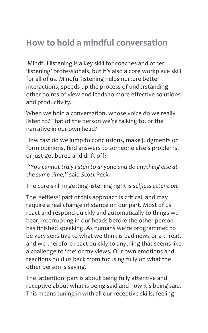### **How to hold a mindful conversation**

Mindful listening is a key skill for coaches and other 'listening' professionals, but it's also a core workplace skill for all of us. Mindful listening helps nurture better interactions, speeds up the process of understanding other points of view and leads to more effective solutions and productivity.

When we hold a conversation, whose voice do we really listen to? That of the person we're talking to, or the narrative in our own head?

How fast do we jump to conclusions, make judgments or form opinions, find answers to someone else's problems, or just get bored and drift off?

*"You cannot truly listen to anyone and do anything else at the same time,"* said *Scott Peck*.

The core skill in getting listening right is selfless attention.

The 'selfless' part of this approach is critical, and may require a real change of stance on our part. Most of us react and respond quickly and automatically to things we hear, interrupting in our heads before the other person has finished speaking. As humans we're programmed to be very sensitive to what we think is bad news or a threat, and we therefore react quickly to anything that seems like a challenge to 'me' or my views. Our own emotions and reactions hold us back from focusing fully on what the other person is saying.

The 'attention' part is about being fully attentive and receptive about what is being said and how it's being said. This means tuning in with all our receptive skills; feeling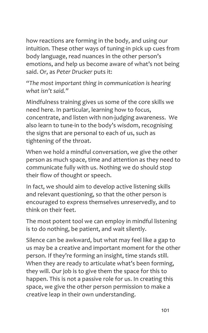how reactions are forming in the body, and using our intuition. These other ways of tuning-in pick up cues from body language, read nuances in the other person's emotions, and help us become aware of what's not being said. Or, as Peter Drucker puts it:

*"The most important thing in communication is hearing what isn't said."*

Mindfulness training gives us some of the core skills we need here. In particular, learning how to focus, concentrate, and listen with non-judging awareness. We also learn to tune-in to the body's wisdom, recognising the signs that are personal to each of us, such as tightening of the throat.

When we hold a mindful conversation, we give the other person as much space, time and attention as they need to communicate fully with us. Nothing we do should stop their flow of thought or speech.

In fact, we should aim to develop active listening skills and relevant questioning, so that the other person is encouraged to express themselves unreservedly, and to think on their feet.

The most potent tool we can employ in mindful listening is to do nothing, be patient, and wait silently.

Silence can be awkward, but what may feel like a gap to us may be a creative and important moment for the other person. If they're forming an insight, time stands still. When they are ready to articulate what's been forming, they will. Our job is to give them the space for this to happen. This is not a passive role for us. In creating this space, we give the other person permission to make a creative leap in their own understanding.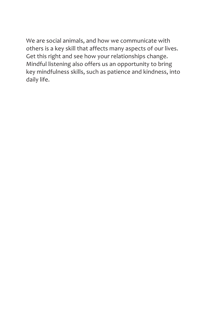We are social animals, and how we communicate with others is a key skill that affects many aspects of our lives. Get this right and see how your relationships change. Mindful listening also offers us an opportunity to bring key mindfulness skills, such as patience and kindness, into daily life.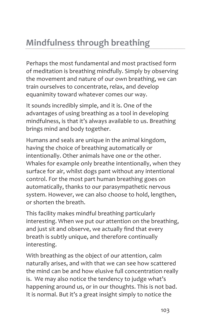### **Mindfulness through breathing**

Perhaps the most fundamental and most practised form of meditation is breathing mindfully. Simply by observing the movement and nature of our own breathing, we can train ourselves to concentrate, relax, and develop equanimity toward whatever comes our way.

It sounds incredibly simple, and it is. One of the advantages of using breathing as a tool in developing mindfulness, is that it's always available to us. Breathing brings mind and body together.

Humans and seals are unique in the animal kingdom, having the choice of breathing automatically or intentionally. Other animals have one or the other. Whales for example only breathe intentionally, when they surface for air, whilst dogs pant without any intentional control. For the most part human breathing goes on automatically, thanks to our parasympathetic nervous system. However, we can also choose to hold, lengthen, or shorten the breath

This facility makes mindful breathing particularly interesting. When we put our attention on the breathing, and just sit and observe, we actually find that every breath is subtly unique, and therefore continually interesting.

With breathing as the object of our attention, calm naturally arises, and with that we can see how scattered the mind can be and how elusive full concentration really is. We may also notice the tendency to judge what's happening around us, or in our thoughts. This is not bad. It is normal. But it's a great insight simply to notice the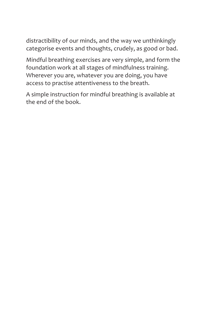distractibility of our minds, and the way we unthinkingly categorise events and thoughts, crudely, as good or bad.

Mindful breathing exercises are very simple, and form the foundation work at all stages of mindfulness training. Wherever you are, whatever you are doing, you have access to practise attentiveness to the breath.

A simple instruction for mindful breathing is available at the end of the book.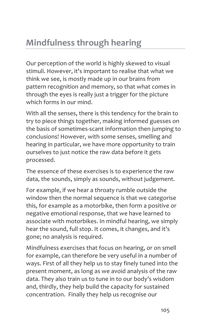# **Mindfulness through hearing**

Our perception of the world is highly skewed to visual stimuli. However, it's important to realise that what we think we see, is mostly made up in our brains from pattern recognition and memory, so that what comes in through the eyes is really just a trigger for the picture which forms in our mind.

With all the senses, there is this tendency for the brain to try to piece things together, making informed guesses on the basis of sometimes-scant information then jumping to conclusions! However, with some senses, smelling and hearing in particular, we have more opportunity to train ourselves to just notice the raw data before it gets processed.

The essence of these exercises is to experience the raw data, the sounds, simply as sounds, without judgement.

For example, if we hear a throaty rumble outside the window then the normal sequence is that we categorise this, for example as a motorbike, then form a positive or negative emotional response, that we have learned to associate with motorbikes. In mindful hearing, we simply hear the sound, full stop. It comes, it changes, and it's gone; no analysis is required.

Mindfulness exercises that focus on hearing, or on smell for example, can therefore be very useful in a number of ways. First of all they help us to stay finely tuned into the present moment, as long as we avoid analysis of the raw data. They also train us to tune in to our body's wisdom and, thirdly, they help build the capacity for sustained concentration. Finally they help us recognise our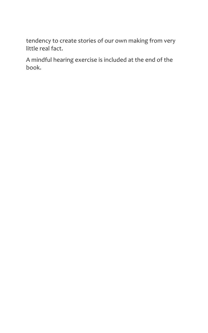tendency to create stories of our own making from very little real fact.

A mindful hearing exercise is included at the end of the book.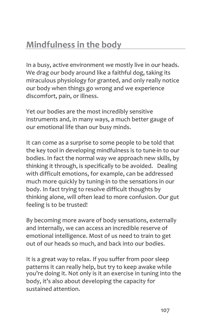## **Mindfulness in the body**

In a busy, active environment we mostly live in our heads. We drag our body around like a faithful dog, taking its miraculous physiology for granted, and only really notice our body when things go wrong and we experience discomfort, pain, or illness. 

Yet our bodies are the most incredibly sensitive instruments and, in many ways, a much better gauge of our emotional life than our busy minds.

It can come as a surprise to some people to be told that the key tool in developing mindfulness is to tune-in to our bodies. In fact the normal way we approach new skills, by thinking it through, is specifically to be avoided. Dealing with difficult emotions, for example, can be addressed much more quickly by tuning-in to the sensations in our body. In fact trying to resolve difficult thoughts by thinking alone, will often lead to more confusion. Our gut feeling is to be trusted!

By becoming more aware of body sensations, externally and internally, we can access an incredible reserve of emotional intelligence. Most of us need to train to get out of our heads so much, and back into our bodies.

It is a great way to relax. If you suffer from poor sleep patterns it can really help, but try to keep awake while you're doing it. Not only is it an exercise in tuning into the body, it's also about developing the capacity for sustained attention.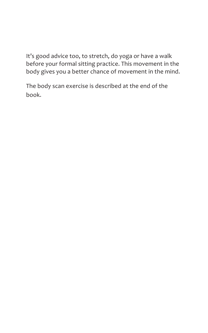It's good advice too, to stretch, do yoga or have a walk before your formal sitting practice. This movement in the body gives you a better chance of movement in the mind.

The body scan exercise is described at the end of the book.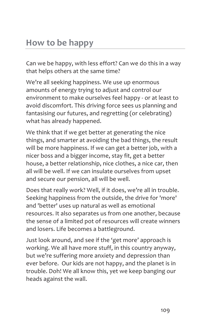### **How to be happy**

Can we be happy, with less effort? Can we do this in a way that helps others at the same time?

We're all seeking happiness. We use up enormous amounts of energy trying to adjust and control our environment to make ourselves feel happy - or at least to avoid discomfort. This driving force sees us planning and fantasising our futures, and regretting (or celebrating) what has already happened.

We think that if we get better at generating the nice things, and smarter at avoiding the bad things, the result will be more happiness. If we can get a better job, with a nicer boss and a bigger income, stay fit, get a better house, a better relationship, nice clothes, a nice car, then all will be well. If we can insulate ourselves from upset and secure our pension, all will be well.

Does that really work? Well, if it does, we're all in trouble. Seeking happiness from the outside, the drive for 'more' and 'better' uses up natural as well as emotional resources. It also separates us from one another, because the sense of a limited pot of resources will create winners and losers. Life becomes a battleground.

Just look around, and see if the 'get more' approach is working. We all have more stuff, in this country anyway, but we're suffering more anxiety and depression than ever before. Our kids are not happy, and the planet is in trouble. Doh! We all know this, yet we keep banging our heads against the wall.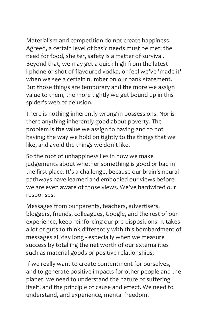Materialism and competition do not create happiness. Agreed, a certain level of basic needs must be met; the need for food, shelter, safety is a matter of survival. Beyond that, we may get a quick high from the latest i-phone or shot of flavoured vodka, or feel we've 'made it' when we see a certain number on our bank statement. But those things are temporary and the more we assign value to them, the more tightly we get bound up in this spider's web of delusion.

There is nothing inherently wrong in possessions. Nor is there anything inherently good about poverty. The problem is the value we assign to having and to not having; the way we hold on tightly to the things that we like, and avoid the things we don't like.

So the root of unhappiness lies in how we make judgements about whether something is good or bad in the first place. It's a challenge, because our brain's neural pathways have learned and embodied our views before we are even aware of those views. We've hardwired our responses.

Messages from our parents, teachers, advertisers, bloggers, friends, colleagues, Google, and the rest of our experience, keep reinforcing our pre-dispositions. It takes a lot of guts to think differently with this bombardment of messages all day long - especially when we measure success by totalling the net worth of our externalities such as material goods or positive relationships.

If we really want to create contentment for ourselves, and to generate positive impacts for other people and the planet, we need to understand the nature of suffering itself, and the principle of cause and effect. We need to understand, and experience, mental freedom.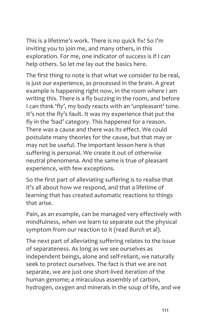This is a lifetime's work. There is no quick fix! So I'm inviting you to join me, and many others, in this exploration. For me, one indicator of success is if I can help others. So let me lay out the basics here.

The first thing to note is that what we consider to be real, is just our experience, as processed in the brain. A great example is happening right now, in the room where I am writing this. There is a fly buzzing in the room, and before I can think 'fly', my body reacts with an 'unpleasant' tone. It's not the fly's fault. It was my experience that put the fly in the 'bad' category. This happened for a reason. There was a cause and there was its effect. We could postulate many theories for the cause, but that may or may not be useful. The important lesson here is that suffering is personal. We create it out of otherwise neutral phenomena. And the same is true of pleasant experience, with few exceptions.

So the first part of alleviating suffering is to realise that it's all about how we respond, and that a lifetime of learning that has created automatic reactions to things that arise.

Pain, as an example, can be managed very effectively with mindfulness, when we learn to separate out the physical symptom from our reaction to it (read Burch et al).

The next part of alleviating suffering relates to the issue of separateness. As long as we see ourselves as independent beings, alone and self-reliant, we naturally seek to protect ourselves. The fact is that we are not separate, we are just one short-lived iteration of the human genome; a miraculous assembly of carbon, hydrogen, oxygen and minerals in the soup of life, and we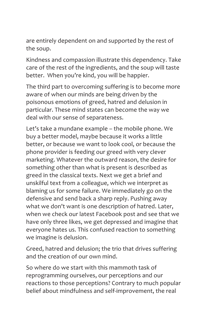are entirely dependent on and supported by the rest of the soup.

Kindness and compassion illustrate this dependency. Take care of the rest of the ingredients, and the soup will taste better. When you're kind, you will be happier.

The third part to overcoming suffering is to become more aware of when our minds are being driven by the poisonous emotions of greed, hatred and delusion in particular. These mind states can become the way we deal with our sense of separateness.

Let's take a mundane example - the mobile phone. We buy a better model, maybe because it works a little better, or because we want to look cool, or because the phone provider is feeding our greed with very clever marketing. Whatever the outward reason, the desire for something other than what is present is described as greed in the classical texts. Next we get a brief and unskilful text from a colleague, which we interpret as blaming us for some failure. We immediately go on the defensive and send back a sharp reply. Pushing away what we don't want is one description of hatred. Later, when we check our latest Facebook post and see that we have only three likes, we get depressed and imagine that everyone hates us. This confused reaction to something we imagine is delusion.

Greed, hatred and delusion; the trio that drives suffering and the creation of our own mind.

So where do we start with this mammoth task of reprogramming ourselves, our perceptions and our reactions to those perceptions? Contrary to much popular belief about mindfulness and self-improvement, the real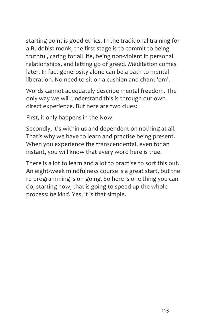starting point is good ethics. In the traditional training for a Buddhist monk, the first stage is to commit to being truthful, caring for all life, being non-violent in personal relationships, and letting go of greed. Meditation comes later. In fact generosity alone can be a path to mental liberation. No need to sit on a cushion and chant 'om'.

Words cannot adequately describe mental freedom. The only way we will understand this is through our own direct experience. But here are two clues:

First, it only happens in the Now.

Secondly, it's within us and dependent on nothing at all. That's why we have to learn and practise being present. When you experience the transcendental, even for an instant, you will know that every word here is true.

There is a lot to learn and a lot to practise to sort this out. An eight-week mindfulness course is a great start, but the re-programming is on-going. So here is one thing you can do, starting now, that is going to speed up the whole process: be kind. Yes, it is that simple.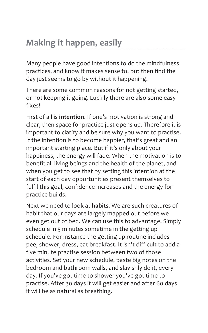# **Making it happen, easily**

Many people have good intentions to do the mindfulness practices, and know it makes sense to, but then find the day just seems to go by without it happening.

There are some common reasons for not getting started, or not keeping it going. Luckily there are also some easy fixes!

First of all is **intention**. If one's motivation is strong and clear, then space for practice just opens up. Therefore it is important to clarify and be sure why you want to practise. If the intention is to become happier, that's great and an important starting place. But if it's only about your happiness, the energy will fade. When the motivation is to benefit all living beings and the health of the planet, and when you get to see that by setting this intention at the start of each day opportunities present themselves to fulfil this goal, confidence increases and the energy for practice builds.

Next we need to look at **habits**. We are such creatures of habit that our days are largely mapped out before we even get out of bed. We can use this to advantage. Simply schedule in 5 minutes sometime in the getting up schedule. For instance the getting up routine includes pee, shower, dress, eat breakfast. It isn't difficult to add a five minute practise session between two of those activities. Set your new schedule, paste big notes on the bedroom and bathroom walls, and slavishly do it, every day. If you've got time to shower you've got time to practise. After 30 days it will get easier and after 60 days it will be as natural as breathing.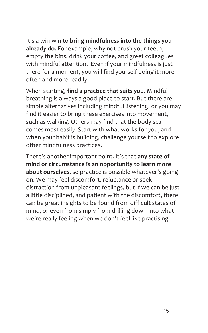It's a win-win to **bring mindfulness into the things you** already do. For example, why not brush your teeth, empty the bins, drink your coffee, and greet colleagues with mindful attention. Even if your mindfulness is just there for a moment, you will find yourself doing it more often and more readily.

When starting, **find a practice that suits you**. Mindful breathing is always a good place to start. But there are simple alternatives including mindful listening, or you may find it easier to bring these exercises into movement, such as walking. Others may find that the body scan comes most easily. Start with what works for you, and when your habit is building, challenge yourself to explore other mindfulness practices.

There's another important point. It's that any state of **mind or circumstance is an opportunity to learn more**  about ourselves, so practice is possible whatever's going on. We may feel discomfort, reluctance or seek distraction from unpleasant feelings, but if we can be just a little disciplined, and patient with the discomfort, there can be great insights to be found from difficult states of mind, or even from simply from drilling down into what we're really feeling when we don't feel like practising.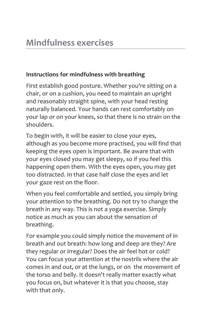#### **Instructions for mindfulness with breathing**

First establish good posture. Whether you're sitting on a chair, or on a cushion, you need to maintain an upright and reasonably straight spine, with your head resting naturally balanced. Your hands can rest comfortably on your lap or on your knees, so that there is no strain on the shoulders.

To begin with, it will be easier to close your eyes, although as you become more practised, you will find that keeping the eyes open is important. Be aware that with your eyes closed you may get sleepy, so if you feel this happening open them. With the eyes open, you may get too distracted. In that case half close the eyes and let your gaze rest on the floor.

When you feel comfortable and settled, you simply bring your attention to the breathing. Do not try to change the breath in any way. This is not a yoga exercise. Simply notice as much as you can about the sensation of breathing.

For example you could simply notice the movement of in breath and out breath: how long and deep are they? Are they regular or irregular? Does the air feel hot or cold? You can focus your attention at the nostrils where the air comes in and out, or at the lungs, or on the movement of the torso and belly. It doesn't really matter exactly what you focus on, but whatever it is that you choose, stay with that only.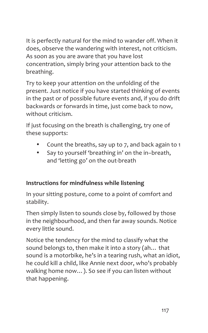It is perfectly natural for the mind to wander off. When it does, observe the wandering with interest, not criticism. As soon as you are aware that you have lost concentration, simply bring your attention back to the breathing. 

Try to keep your attention on the unfolding of the present. Just notice if you have started thinking of events in the past or of possible future events and, if you do drift backwards or forwards in time, just come back to now, without criticism.

If just focusing on the breath is challenging, try one of these supports:

- Count the breaths, say up to 7, and back again to 1
- Say to yourself 'breathing in' on the in-breath, and 'letting go' on the out-breath

#### **Instructions for mindfulness while listening**

In your sitting posture, come to a point of comfort and stability.

Then simply listen to sounds close by, followed by those in the neighbourhood, and then far away sounds. Notice every little sound.

Notice the tendency for the mind to classify what the sound belongs to, then make it into a story (ah... that sound is a motorbike, he's in a tearing rush, what an idiot, he could kill a child, like Annie next door, who's probably walking home now...). So see if you can listen without that happening.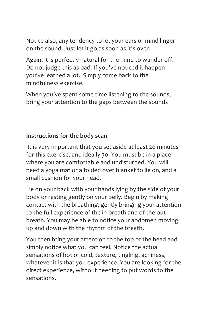Notice also, any tendency to let your ears or mind linger on the sound. Just let it go as soon as it's over.

Again, it is perfectly natural for the mind to wander off. Do not judge this as bad. If you've noticed it happen you've learned a lot. Simply come back to the mindfulness exercise.

When you've spent some time listening to the sounds, bring your attention to the gaps between the sounds

#### **Instructions for the body scan**

It is very important that you set aside at least 20 minutes for this exercise, and ideally 30. You must be in a place where you are comfortable and undisturbed. You will need a yoga mat or a folded over blanket to lie on, and a small cushion for your head.

Lie on your back with your hands lying by the side of your body or resting gently on your belly. Begin by making contact with the breathing, gently bringing your attention to the full experience of the in-breath and of the outbreath. You may be able to notice your abdomen moving up and down with the rhythm of the breath.

You then bring your attention to the top of the head and simply notice what you can feel. Notice the actual sensations of hot or cold, texture, tingling, achiness, whatever it is that you experience. You are looking for the direct experience, without needing to put words to the sensations.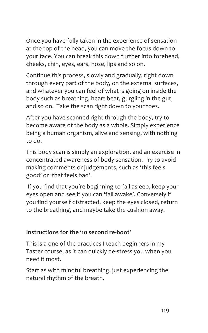Once you have fully taken in the experience of sensation at the top of the head, you can move the focus down to your face. You can break this down further into forehead, cheeks, chin, eyes, ears, nose, lips and so on.

Continue this process, slowly and gradually, right down through every part of the body, on the external surfaces, and whatever you can feel of what is going on inside the body such as breathing, heart beat, gurgling in the gut, and so on. Take the scan right down to your toes.

After you have scanned right through the body, try to become aware of the body as a whole. Simply experience being a human organism, alive and sensing, with nothing to do. 

This body scan is simply an exploration, and an exercise in concentrated awareness of body sensation. Try to avoid making comments or judgements, such as 'this feels good' or 'that feels bad'.

If you find that you're beginning to fall asleep, keep your eyes open and see if you can 'fall awake'. Conversely if you find yourself distracted, keep the eyes closed, return to the breathing, and maybe take the cushion away.

#### **Instructions for the '10 second re-boot'**

This is a one of the practices I teach beginners in my Taster course, as it can quickly de-stress you when you need it most.

Start as with mindful breathing, just experiencing the natural rhythm of the breath.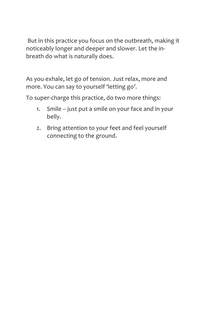But in this practice you focus on the outbreath, making it noticeably longer and deeper and slower. Let the inbreath do what is naturally does.

As you exhale, let go of tension. Just relax, more and more. You can say to yourself 'letting go'.

To super-charge this practice, do two more things:

- 1. Smile just put a smile on your face and in your belly.
- 2. Bring attention to your feet and feel yourself connecting to the ground.